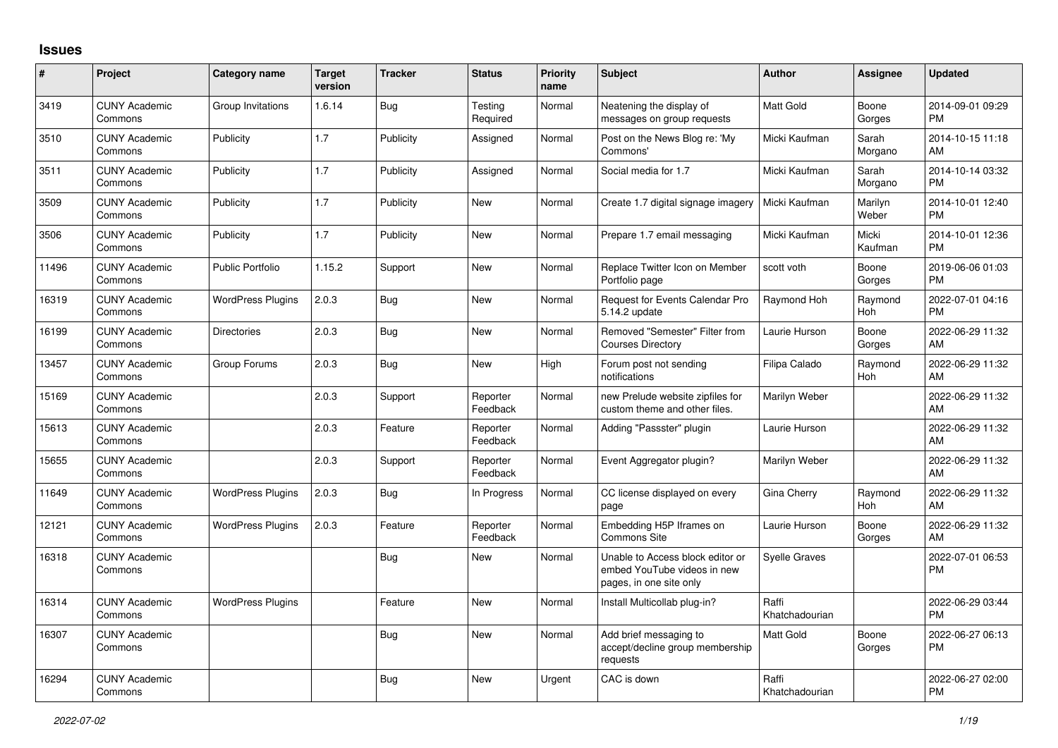## **Issues**

| #     | Project                         | Category name            | <b>Target</b><br>version | <b>Tracker</b> | <b>Status</b>        | <b>Priority</b><br>name | <b>Subject</b>                                                                             | <b>Author</b>           | Assignee         | <b>Updated</b>                |
|-------|---------------------------------|--------------------------|--------------------------|----------------|----------------------|-------------------------|--------------------------------------------------------------------------------------------|-------------------------|------------------|-------------------------------|
| 3419  | <b>CUNY Academic</b><br>Commons | Group Invitations        | 1.6.14                   | Bug            | Testing<br>Required  | Normal                  | Neatening the display of<br>messages on group requests                                     | <b>Matt Gold</b>        | Boone<br>Gorges  | 2014-09-01 09:29<br><b>PM</b> |
| 3510  | <b>CUNY Academic</b><br>Commons | Publicity                | 1.7                      | Publicity      | Assigned             | Normal                  | Post on the News Blog re: 'My<br>Commons'                                                  | Micki Kaufman           | Sarah<br>Morgano | 2014-10-15 11:18<br>AM        |
| 3511  | <b>CUNY Academic</b><br>Commons | Publicity                | 1.7                      | Publicity      | Assigned             | Normal                  | Social media for 1.7                                                                       | Micki Kaufman           | Sarah<br>Morgano | 2014-10-14 03:32<br><b>PM</b> |
| 3509  | <b>CUNY Academic</b><br>Commons | Publicity                | 1.7                      | Publicity      | New                  | Normal                  | Create 1.7 digital signage imagery                                                         | Micki Kaufman           | Marilyn<br>Weber | 2014-10-01 12:40<br><b>PM</b> |
| 3506  | <b>CUNY Academic</b><br>Commons | Publicity                | 1.7                      | Publicity      | <b>New</b>           | Normal                  | Prepare 1.7 email messaging                                                                | Micki Kaufman           | Micki<br>Kaufman | 2014-10-01 12:36<br><b>PM</b> |
| 11496 | <b>CUNY Academic</b><br>Commons | <b>Public Portfolio</b>  | 1.15.2                   | Support        | <b>New</b>           | Normal                  | Replace Twitter Icon on Member<br>Portfolio page                                           | scott voth              | Boone<br>Gorges  | 2019-06-06 01:03<br><b>PM</b> |
| 16319 | <b>CUNY Academic</b><br>Commons | <b>WordPress Plugins</b> | 2.0.3                    | Bug            | New                  | Normal                  | Request for Events Calendar Pro<br>5.14.2 update                                           | Raymond Hoh             | Raymond<br>Hoh   | 2022-07-01 04:16<br><b>PM</b> |
| 16199 | <b>CUNY Academic</b><br>Commons | <b>Directories</b>       | 2.0.3                    | Bug            | <b>New</b>           | Normal                  | Removed "Semester" Filter from<br><b>Courses Directory</b>                                 | Laurie Hurson           | Boone<br>Gorges  | 2022-06-29 11:32<br>AM        |
| 13457 | <b>CUNY Academic</b><br>Commons | Group Forums             | 2.0.3                    | Bug            | New                  | High                    | Forum post not sending<br>notifications                                                    | Filipa Calado           | Raymond<br>Hoh   | 2022-06-29 11:32<br>AM        |
| 15169 | <b>CUNY Academic</b><br>Commons |                          | 2.0.3                    | Support        | Reporter<br>Feedback | Normal                  | new Prelude website zipfiles for<br>custom theme and other files.                          | Marilyn Weber           |                  | 2022-06-29 11:32<br>AM        |
| 15613 | <b>CUNY Academic</b><br>Commons |                          | 2.0.3                    | Feature        | Reporter<br>Feedback | Normal                  | Adding "Passster" plugin                                                                   | Laurie Hurson           |                  | 2022-06-29 11:32<br>AM        |
| 15655 | <b>CUNY Academic</b><br>Commons |                          | 2.0.3                    | Support        | Reporter<br>Feedback | Normal                  | Event Aggregator plugin?                                                                   | Marilyn Weber           |                  | 2022-06-29 11:32<br>AM        |
| 11649 | <b>CUNY Academic</b><br>Commons | <b>WordPress Plugins</b> | 2.0.3                    | Bug            | In Progress          | Normal                  | CC license displayed on every<br>page                                                      | Gina Cherry             | Raymond<br>Hoh   | 2022-06-29 11:32<br>AM        |
| 12121 | <b>CUNY Academic</b><br>Commons | <b>WordPress Plugins</b> | 2.0.3                    | Feature        | Reporter<br>Feedback | Normal                  | Embedding H5P Iframes on<br><b>Commons Site</b>                                            | Laurie Hurson           | Boone<br>Gorges  | 2022-06-29 11:32<br>AM        |
| 16318 | <b>CUNY Academic</b><br>Commons |                          |                          | <b>Bug</b>     | New                  | Normal                  | Unable to Access block editor or<br>embed YouTube videos in new<br>pages, in one site only | <b>Syelle Graves</b>    |                  | 2022-07-01 06:53<br>PM        |
| 16314 | <b>CUNY Academic</b><br>Commons | <b>WordPress Plugins</b> |                          | Feature        | <b>New</b>           | Normal                  | Install Multicollab plug-in?                                                               | Raffi<br>Khatchadourian |                  | 2022-06-29 03:44<br><b>PM</b> |
| 16307 | <b>CUNY Academic</b><br>Commons |                          |                          | Bug            | <b>New</b>           | Normal                  | Add brief messaging to<br>accept/decline group membership<br>requests                      | <b>Matt Gold</b>        | Boone<br>Gorges  | 2022-06-27 06:13<br><b>PM</b> |
| 16294 | <b>CUNY Academic</b><br>Commons |                          |                          | Bug            | <b>New</b>           | Urgent                  | CAC is down                                                                                | Raffi<br>Khatchadourian |                  | 2022-06-27 02:00<br><b>PM</b> |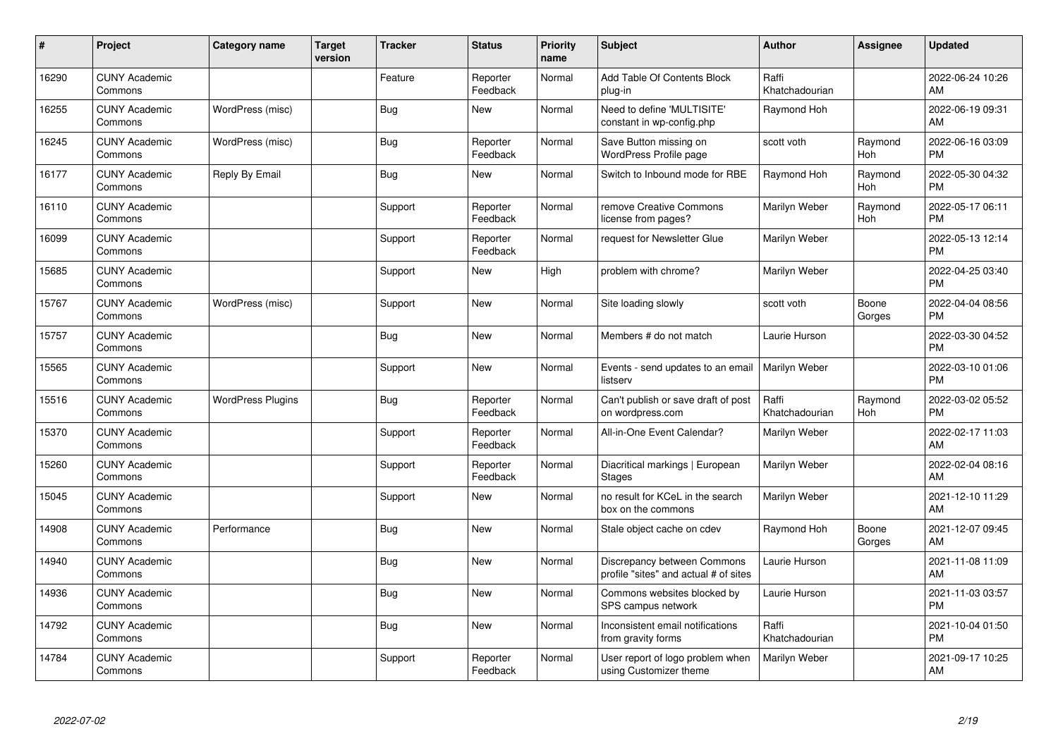| #     | Project                         | <b>Category name</b>     | <b>Target</b><br>version | <b>Tracker</b> | <b>Status</b>        | Priority<br>name | <b>Subject</b>                                                       | <b>Author</b>           | <b>Assignee</b> | <b>Updated</b>                |
|-------|---------------------------------|--------------------------|--------------------------|----------------|----------------------|------------------|----------------------------------------------------------------------|-------------------------|-----------------|-------------------------------|
| 16290 | <b>CUNY Academic</b><br>Commons |                          |                          | Feature        | Reporter<br>Feedback | Normal           | Add Table Of Contents Block<br>plug-in                               | Raffi<br>Khatchadourian |                 | 2022-06-24 10:26<br>AM        |
| 16255 | <b>CUNY Academic</b><br>Commons | WordPress (misc)         |                          | <b>Bug</b>     | <b>New</b>           | Normal           | Need to define 'MULTISITE'<br>constant in wp-config.php              | Raymond Hoh             |                 | 2022-06-19 09:31<br>AM        |
| 16245 | <b>CUNY Academic</b><br>Commons | WordPress (misc)         |                          | Bug            | Reporter<br>Feedback | Normal           | Save Button missing on<br>WordPress Profile page                     | scott voth              | Raymond<br>Hoh  | 2022-06-16 03:09<br><b>PM</b> |
| 16177 | <b>CUNY Academic</b><br>Commons | Reply By Email           |                          | Bug            | <b>New</b>           | Normal           | Switch to Inbound mode for RBE                                       | Raymond Hoh             | Raymond<br>Hoh  | 2022-05-30 04:32<br><b>PM</b> |
| 16110 | <b>CUNY Academic</b><br>Commons |                          |                          | Support        | Reporter<br>Feedback | Normal           | remove Creative Commons<br>license from pages?                       | Marilyn Weber           | Raymond<br>Hoh  | 2022-05-17 06:11<br><b>PM</b> |
| 16099 | <b>CUNY Academic</b><br>Commons |                          |                          | Support        | Reporter<br>Feedback | Normal           | request for Newsletter Glue                                          | Marilyn Weber           |                 | 2022-05-13 12:14<br><b>PM</b> |
| 15685 | <b>CUNY Academic</b><br>Commons |                          |                          | Support        | New                  | High             | problem with chrome?                                                 | Marilyn Weber           |                 | 2022-04-25 03:40<br><b>PM</b> |
| 15767 | <b>CUNY Academic</b><br>Commons | WordPress (misc)         |                          | Support        | <b>New</b>           | Normal           | Site loading slowly                                                  | scott voth              | Boone<br>Gorges | 2022-04-04 08:56<br><b>PM</b> |
| 15757 | <b>CUNY Academic</b><br>Commons |                          |                          | Bug            | <b>New</b>           | Normal           | Members # do not match                                               | Laurie Hurson           |                 | 2022-03-30 04:52<br><b>PM</b> |
| 15565 | <b>CUNY Academic</b><br>Commons |                          |                          | Support        | <b>New</b>           | Normal           | Events - send updates to an email<br>listserv                        | Marilyn Weber           |                 | 2022-03-10 01:06<br><b>PM</b> |
| 15516 | <b>CUNY Academic</b><br>Commons | <b>WordPress Plugins</b> |                          | <b>Bug</b>     | Reporter<br>Feedback | Normal           | Can't publish or save draft of post<br>on wordpress.com              | Raffi<br>Khatchadourian | Raymond<br>Hoh  | 2022-03-02 05:52<br><b>PM</b> |
| 15370 | <b>CUNY Academic</b><br>Commons |                          |                          | Support        | Reporter<br>Feedback | Normal           | All-in-One Event Calendar?                                           | Marilyn Weber           |                 | 2022-02-17 11:03<br>AM        |
| 15260 | <b>CUNY Academic</b><br>Commons |                          |                          | Support        | Reporter<br>Feedback | Normal           | Diacritical markings   European<br><b>Stages</b>                     | <b>Marilyn Weber</b>    |                 | 2022-02-04 08:16<br>AM        |
| 15045 | <b>CUNY Academic</b><br>Commons |                          |                          | Support        | <b>New</b>           | Normal           | no result for KCeL in the search<br>box on the commons               | Marilyn Weber           |                 | 2021-12-10 11:29<br>AM        |
| 14908 | <b>CUNY Academic</b><br>Commons | Performance              |                          | <b>Bug</b>     | <b>New</b>           | Normal           | Stale object cache on cdev                                           | Raymond Hoh             | Boone<br>Gorges | 2021-12-07 09:45<br>AM        |
| 14940 | <b>CUNY Academic</b><br>Commons |                          |                          | Bug            | <b>New</b>           | Normal           | Discrepancy between Commons<br>profile "sites" and actual # of sites | Laurie Hurson           |                 | 2021-11-08 11:09<br>AM        |
| 14936 | <b>CUNY Academic</b><br>Commons |                          |                          | <b>Bug</b>     | New                  | Normal           | Commons websites blocked by<br>SPS campus network                    | Laurie Hurson           |                 | 2021-11-03 03:57<br><b>PM</b> |
| 14792 | <b>CUNY Academic</b><br>Commons |                          |                          | Bug            | <b>New</b>           | Normal           | Inconsistent email notifications<br>from gravity forms               | Raffi<br>Khatchadourian |                 | 2021-10-04 01:50<br><b>PM</b> |
| 14784 | <b>CUNY Academic</b><br>Commons |                          |                          | Support        | Reporter<br>Feedback | Normal           | User report of logo problem when<br>using Customizer theme           | Marilyn Weber           |                 | 2021-09-17 10:25<br>AM        |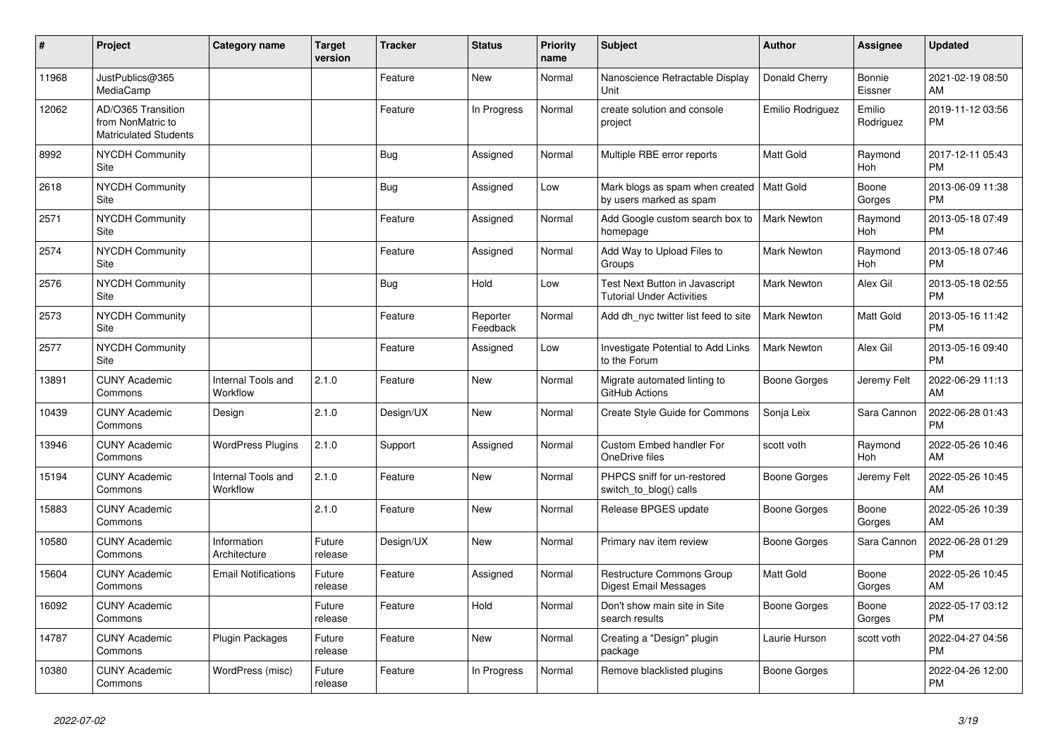| #     | Project                                                                 | <b>Category name</b>           | <b>Target</b><br>version | <b>Tracker</b> | <b>Status</b>        | <b>Priority</b><br>name | <b>Subject</b>                                                         | <b>Author</b>      | Assignee                 | <b>Updated</b>                |
|-------|-------------------------------------------------------------------------|--------------------------------|--------------------------|----------------|----------------------|-------------------------|------------------------------------------------------------------------|--------------------|--------------------------|-------------------------------|
| 11968 | JustPublics@365<br>MediaCamp                                            |                                |                          | Feature        | <b>New</b>           | Normal                  | Nanoscience Retractable Display<br>Unit                                | Donald Cherry      | <b>Bonnie</b><br>Eissner | 2021-02-19 08:50<br>AM        |
| 12062 | AD/O365 Transition<br>from NonMatric to<br><b>Matriculated Students</b> |                                |                          | Feature        | In Progress          | Normal                  | create solution and console<br>project                                 | Emilio Rodriguez   | Emilio<br>Rodriguez      | 2019-11-12 03:56<br><b>PM</b> |
| 8992  | <b>NYCDH Community</b><br>Site                                          |                                |                          | <b>Bug</b>     | Assigned             | Normal                  | Multiple RBE error reports                                             | <b>Matt Gold</b>   | Raymond<br>Hoh           | 2017-12-11 05:43<br><b>PM</b> |
| 2618  | <b>NYCDH Community</b><br>Site                                          |                                |                          | Bug            | Assigned             | Low                     | Mark blogs as spam when created   Matt Gold<br>by users marked as spam |                    | Boone<br>Gorges          | 2013-06-09 11:38<br><b>PM</b> |
| 2571  | <b>NYCDH Community</b><br>Site                                          |                                |                          | Feature        | Assigned             | Normal                  | Add Google custom search box to<br>homepage                            | Mark Newton        | Raymond<br>Hoh           | 2013-05-18 07:49<br><b>PM</b> |
| 2574  | NYCDH Community<br>Site                                                 |                                |                          | Feature        | Assigned             | Normal                  | Add Way to Upload Files to<br>Groups                                   | <b>Mark Newton</b> | Raymond<br>Hoh           | 2013-05-18 07:46<br><b>PM</b> |
| 2576  | NYCDH Community<br>Site                                                 |                                |                          | Bug            | Hold                 | Low                     | Test Next Button in Javascript<br><b>Tutorial Under Activities</b>     | <b>Mark Newton</b> | Alex Gil                 | 2013-05-18 02:55<br><b>PM</b> |
| 2573  | NYCDH Community<br><b>Site</b>                                          |                                |                          | Feature        | Reporter<br>Feedback | Normal                  | Add dh_nyc twitter list feed to site                                   | <b>Mark Newton</b> | Matt Gold                | 2013-05-16 11:42<br><b>PM</b> |
| 2577  | NYCDH Community<br>Site                                                 |                                |                          | Feature        | Assigned             | Low                     | Investigate Potential to Add Links<br>to the Forum                     | <b>Mark Newton</b> | Alex Gil                 | 2013-05-16 09:40<br><b>PM</b> |
| 13891 | <b>CUNY Academic</b><br>Commons                                         | Internal Tools and<br>Workflow | 2.1.0                    | Feature        | <b>New</b>           | Normal                  | Migrate automated linting to<br>GitHub Actions                         | Boone Gorges       | Jeremy Felt              | 2022-06-29 11:13<br>AM        |
| 10439 | <b>CUNY Academic</b><br>Commons                                         | Design                         | 2.1.0                    | Design/UX      | <b>New</b>           | Normal                  | Create Style Guide for Commons                                         | Sonja Leix         | Sara Cannon              | 2022-06-28 01:43<br><b>PM</b> |
| 13946 | <b>CUNY Academic</b><br>Commons                                         | <b>WordPress Plugins</b>       | 2.1.0                    | Support        | Assigned             | Normal                  | Custom Embed handler For<br>OneDrive files                             | scott voth         | Raymond<br>Hoh           | 2022-05-26 10:46<br>AM        |
| 15194 | <b>CUNY Academic</b><br>Commons                                         | Internal Tools and<br>Workflow | 2.1.0                    | Feature        | <b>New</b>           | Normal                  | PHPCS sniff for un-restored<br>switch_to_blog() calls                  | Boone Gorges       | Jeremy Felt              | 2022-05-26 10:45<br>AM        |
| 15883 | <b>CUNY Academic</b><br>Commons                                         |                                | 2.1.0                    | Feature        | <b>New</b>           | Normal                  | Release BPGES update                                                   | Boone Gorges       | Boone<br>Gorges          | 2022-05-26 10:39<br>AM        |
| 10580 | <b>CUNY Academic</b><br>Commons                                         | Information<br>Architecture    | Future<br>release        | Design/UX      | <b>New</b>           | Normal                  | Primary nav item review                                                | Boone Gorges       | Sara Cannon              | 2022-06-28 01:29<br><b>PM</b> |
| 15604 | <b>CUNY Academic</b><br>Commons                                         | <b>Email Notifications</b>     | Future<br>release        | Feature        | Assigned             | Normal                  | Restructure Commons Group<br>Digest Email Messages                     | Matt Gold          | Boone<br>Gorges          | 2022-05-26 10:45<br>AM        |
| 16092 | <b>CUNY Academic</b><br>Commons                                         |                                | Future<br>release        | Feature        | Hold                 | Normal                  | Don't show main site in Site<br>search results                         | Boone Gorges       | Boone<br>Gorges          | 2022-05-17 03:12<br><b>PM</b> |
| 14787 | <b>CUNY Academic</b><br>Commons                                         | <b>Plugin Packages</b>         | Future<br>release        | Feature        | <b>New</b>           | Normal                  | Creating a "Design" plugin<br>package                                  | Laurie Hurson      | scott voth               | 2022-04-27 04:56<br><b>PM</b> |
| 10380 | <b>CUNY Academic</b><br>Commons                                         | WordPress (misc)               | Future<br>release        | Feature        | In Progress          | Normal                  | Remove blacklisted plugins                                             | Boone Gorges       |                          | 2022-04-26 12:00<br><b>PM</b> |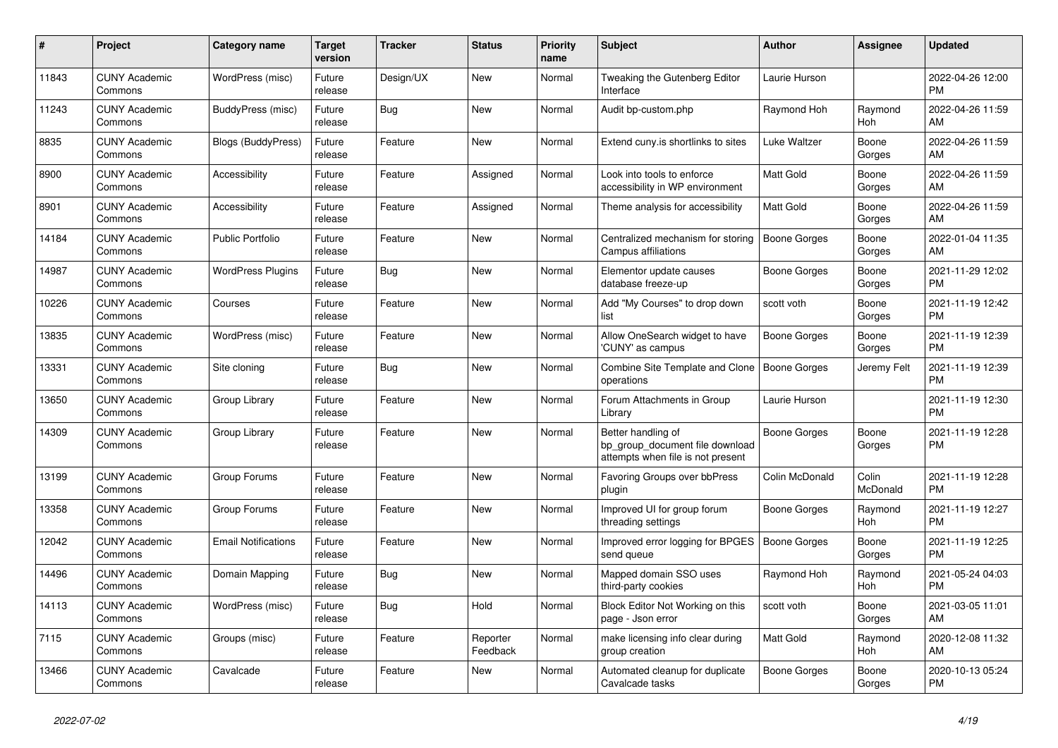| $\#$  | Project                         | <b>Category name</b>       | Target<br>version | <b>Tracker</b> | <b>Status</b>        | <b>Priority</b><br>name | <b>Subject</b>                                                                             | <b>Author</b>    | Assignee          | <b>Updated</b>                |
|-------|---------------------------------|----------------------------|-------------------|----------------|----------------------|-------------------------|--------------------------------------------------------------------------------------------|------------------|-------------------|-------------------------------|
| 11843 | <b>CUNY Academic</b><br>Commons | WordPress (misc)           | Future<br>release | Design/UX      | New                  | Normal                  | Tweaking the Gutenberg Editor<br>Interface                                                 | Laurie Hurson    |                   | 2022-04-26 12:00<br><b>PM</b> |
| 11243 | <b>CUNY Academic</b><br>Commons | BuddyPress (misc)          | Future<br>release | Bug            | New                  | Normal                  | Audit bp-custom.php                                                                        | Raymond Hoh      | Raymond<br>Hoh    | 2022-04-26 11:59<br>AM        |
| 8835  | <b>CUNY Academic</b><br>Commons | Blogs (BuddyPress)         | Future<br>release | Feature        | <b>New</b>           | Normal                  | Extend cuny is shortlinks to sites                                                         | Luke Waltzer     | Boone<br>Gorges   | 2022-04-26 11:59<br>AM        |
| 8900  | <b>CUNY Academic</b><br>Commons | Accessibility              | Future<br>release | Feature        | Assigned             | Normal                  | Look into tools to enforce<br>accessibility in WP environment                              | Matt Gold        | Boone<br>Gorges   | 2022-04-26 11:59<br>AM        |
| 8901  | <b>CUNY Academic</b><br>Commons | Accessibility              | Future<br>release | Feature        | Assigned             | Normal                  | Theme analysis for accessibility                                                           | <b>Matt Gold</b> | Boone<br>Gorges   | 2022-04-26 11:59<br>AM        |
| 14184 | <b>CUNY Academic</b><br>Commons | <b>Public Portfolio</b>    | Future<br>release | Feature        | New                  | Normal                  | Centralized mechanism for storing<br>Campus affiliations                                   | Boone Gorges     | Boone<br>Gorges   | 2022-01-04 11:35<br>AM        |
| 14987 | <b>CUNY Academic</b><br>Commons | <b>WordPress Plugins</b>   | Future<br>release | <b>Bug</b>     | <b>New</b>           | Normal                  | Elementor update causes<br>database freeze-up                                              | Boone Gorges     | Boone<br>Gorges   | 2021-11-29 12:02<br><b>PM</b> |
| 10226 | <b>CUNY Academic</b><br>Commons | Courses                    | Future<br>release | Feature        | <b>New</b>           | Normal                  | Add "My Courses" to drop down<br>list                                                      | scott voth       | Boone<br>Gorges   | 2021-11-19 12:42<br><b>PM</b> |
| 13835 | <b>CUNY Academic</b><br>Commons | WordPress (misc)           | Future<br>release | Feature        | New                  | Normal                  | Allow OneSearch widget to have<br>'CUNY' as campus                                         | Boone Gorges     | Boone<br>Gorges   | 2021-11-19 12:39<br><b>PM</b> |
| 13331 | <b>CUNY Academic</b><br>Commons | Site cloning               | Future<br>release | <b>Bug</b>     | New                  | Normal                  | Combine Site Template and Clone<br>operations                                              | Boone Gorges     | Jeremy Felt       | 2021-11-19 12:39<br><b>PM</b> |
| 13650 | <b>CUNY Academic</b><br>Commons | Group Library              | Future<br>release | Feature        | <b>New</b>           | Normal                  | Forum Attachments in Group<br>Library                                                      | Laurie Hurson    |                   | 2021-11-19 12:30<br><b>PM</b> |
| 14309 | <b>CUNY Academic</b><br>Commons | Group Library              | Future<br>release | Feature        | New                  | Normal                  | Better handling of<br>bp_group_document file download<br>attempts when file is not present | Boone Gorges     | Boone<br>Gorges   | 2021-11-19 12:28<br><b>PM</b> |
| 13199 | <b>CUNY Academic</b><br>Commons | Group Forums               | Future<br>release | Feature        | <b>New</b>           | Normal                  | <b>Favoring Groups over bbPress</b><br>plugin                                              | Colin McDonald   | Colin<br>McDonald | 2021-11-19 12:28<br><b>PM</b> |
| 13358 | <b>CUNY Academic</b><br>Commons | Group Forums               | Future<br>release | Feature        | New                  | Normal                  | Improved UI for group forum<br>threading settings                                          | Boone Gorges     | Raymond<br>Hoh    | 2021-11-19 12:27<br><b>PM</b> |
| 12042 | <b>CUNY Academic</b><br>Commons | <b>Email Notifications</b> | Future<br>release | Feature        | New                  | Normal                  | Improved error logging for BPGES<br>send queue                                             | Boone Gorges     | Boone<br>Gorges   | 2021-11-19 12:25<br>PM        |
| 14496 | <b>CUNY Academic</b><br>Commons | Domain Mapping             | Future<br>release | <b>Bug</b>     | New                  | Normal                  | Mapped domain SSO uses<br>third-party cookies                                              | Raymond Hoh      | Raymond<br>Hoh    | 2021-05-24 04:03<br><b>PM</b> |
| 14113 | <b>CUNY Academic</b><br>Commons | WordPress (misc)           | Future<br>release | <b>Bug</b>     | Hold                 | Normal                  | Block Editor Not Working on this<br>page - Json error                                      | scott voth       | Boone<br>Gorges   | 2021-03-05 11:01<br>AM        |
| 7115  | <b>CUNY Academic</b><br>Commons | Groups (misc)              | Future<br>release | Feature        | Reporter<br>Feedback | Normal                  | make licensing info clear during<br>group creation                                         | <b>Matt Gold</b> | Raymond<br>Hoh    | 2020-12-08 11:32<br>AM        |
| 13466 | <b>CUNY Academic</b><br>Commons | Cavalcade                  | Future<br>release | Feature        | <b>New</b>           | Normal                  | Automated cleanup for duplicate<br>Cavalcade tasks                                         | Boone Gorges     | Boone<br>Gorges   | 2020-10-13 05:24<br>PM        |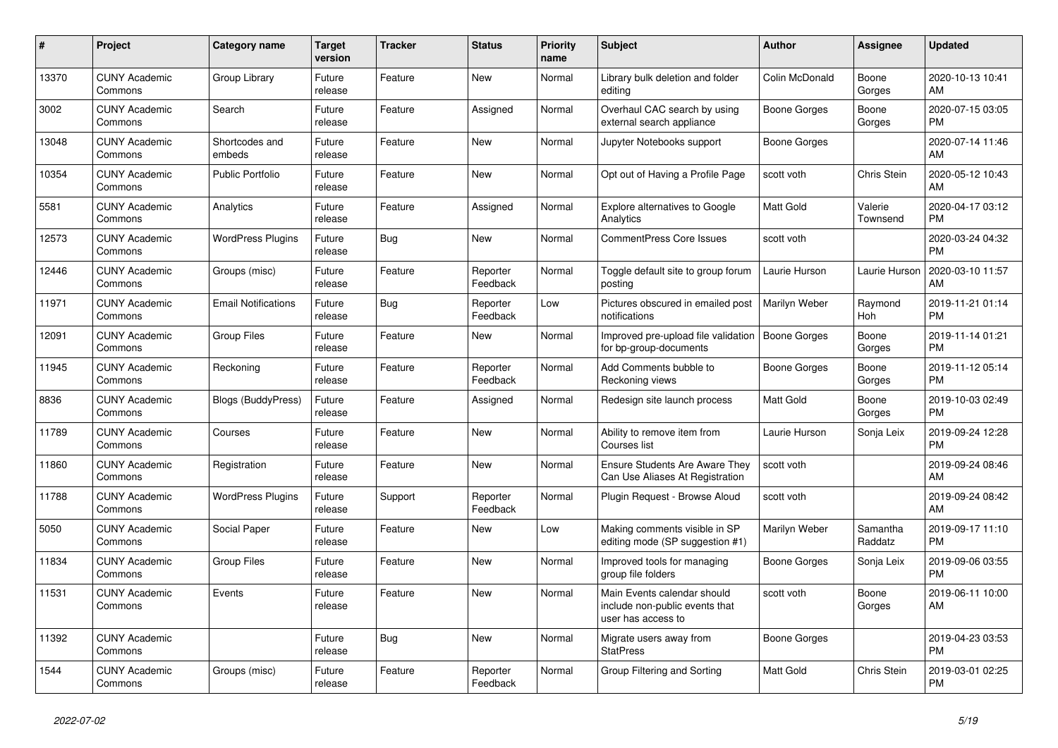| #     | Project                         | Category name              | <b>Target</b><br>version | <b>Tracker</b> | <b>Status</b>        | <b>Priority</b><br>name | <b>Subject</b>                                                                      | <b>Author</b>       | Assignee            | <b>Updated</b>                |
|-------|---------------------------------|----------------------------|--------------------------|----------------|----------------------|-------------------------|-------------------------------------------------------------------------------------|---------------------|---------------------|-------------------------------|
| 13370 | <b>CUNY Academic</b><br>Commons | Group Library              | Future<br>release        | Feature        | New                  | Normal                  | Library bulk deletion and folder<br>editing                                         | Colin McDonald      | Boone<br>Gorges     | 2020-10-13 10:41<br>AM        |
| 3002  | <b>CUNY Academic</b><br>Commons | Search                     | Future<br>release        | Feature        | Assigned             | Normal                  | Overhaul CAC search by using<br>external search appliance                           | Boone Gorges        | Boone<br>Gorges     | 2020-07-15 03:05<br><b>PM</b> |
| 13048 | <b>CUNY Academic</b><br>Commons | Shortcodes and<br>embeds   | Future<br>release        | Feature        | New                  | Normal                  | Jupyter Notebooks support                                                           | Boone Gorges        |                     | 2020-07-14 11:46<br>AM        |
| 10354 | <b>CUNY Academic</b><br>Commons | <b>Public Portfolio</b>    | Future<br>release        | Feature        | <b>New</b>           | Normal                  | Opt out of Having a Profile Page                                                    | scott voth          | Chris Stein         | 2020-05-12 10:43<br>AM        |
| 5581  | <b>CUNY Academic</b><br>Commons | Analytics                  | Future<br>release        | Feature        | Assigned             | Normal                  | Explore alternatives to Google<br>Analytics                                         | Matt Gold           | Valerie<br>Townsend | 2020-04-17 03:12<br><b>PM</b> |
| 12573 | <b>CUNY Academic</b><br>Commons | <b>WordPress Plugins</b>   | Future<br>release        | Bug            | New                  | Normal                  | <b>CommentPress Core Issues</b>                                                     | scott voth          |                     | 2020-03-24 04:32<br><b>PM</b> |
| 12446 | <b>CUNY Academic</b><br>Commons | Groups (misc)              | Future<br>release        | Feature        | Reporter<br>Feedback | Normal                  | Toggle default site to group forum<br>posting                                       | Laurie Hurson       | Laurie Hurson       | 2020-03-10 11:57<br>AM        |
| 11971 | <b>CUNY Academic</b><br>Commons | <b>Email Notifications</b> | Future<br>release        | Bug            | Reporter<br>Feedback | Low                     | Pictures obscured in emailed post<br>notifications                                  | Marilyn Weber       | Raymond<br>Hoh      | 2019-11-21 01:14<br><b>PM</b> |
| 12091 | <b>CUNY Academic</b><br>Commons | <b>Group Files</b>         | Future<br>release        | Feature        | New                  | Normal                  | Improved pre-upload file validation<br>for bp-group-documents                       | <b>Boone Gorges</b> | Boone<br>Gorges     | 2019-11-14 01:21<br><b>PM</b> |
| 11945 | <b>CUNY Academic</b><br>Commons | Reckoning                  | Future<br>release        | Feature        | Reporter<br>Feedback | Normal                  | Add Comments bubble to<br>Reckoning views                                           | <b>Boone Gorges</b> | Boone<br>Gorges     | 2019-11-12 05:14<br><b>PM</b> |
| 8836  | <b>CUNY Academic</b><br>Commons | <b>Blogs (BuddyPress)</b>  | Future<br>release        | Feature        | Assigned             | Normal                  | Redesign site launch process                                                        | Matt Gold           | Boone<br>Gorges     | 2019-10-03 02:49<br><b>PM</b> |
| 11789 | <b>CUNY Academic</b><br>Commons | Courses                    | Future<br>release        | Feature        | New                  | Normal                  | Ability to remove item from<br>Courses list                                         | Laurie Hurson       | Sonja Leix          | 2019-09-24 12:28<br><b>PM</b> |
| 11860 | <b>CUNY Academic</b><br>Commons | Registration               | Future<br>release        | Feature        | New                  | Normal                  | <b>Ensure Students Are Aware They</b><br>Can Use Aliases At Registration            | scott voth          |                     | 2019-09-24 08:46<br>AM        |
| 11788 | <b>CUNY Academic</b><br>Commons | <b>WordPress Plugins</b>   | Future<br>release        | Support        | Reporter<br>Feedback | Normal                  | Plugin Request - Browse Aloud                                                       | scott voth          |                     | 2019-09-24 08:42<br>AM        |
| 5050  | <b>CUNY Academic</b><br>Commons | Social Paper               | Future<br>release        | Feature        | New                  | Low                     | Making comments visible in SP<br>editing mode (SP suggestion #1)                    | Marilyn Weber       | Samantha<br>Raddatz | 2019-09-17 11:10<br><b>PM</b> |
| 11834 | <b>CUNY Academic</b><br>Commons | <b>Group Files</b>         | Future<br>release        | Feature        | New                  | Normal                  | Improved tools for managing<br>group file folders                                   | Boone Gorges        | Sonja Leix          | 2019-09-06 03:55<br><b>PM</b> |
| 11531 | <b>CUNY Academic</b><br>Commons | Events                     | Future<br>release        | Feature        | <b>New</b>           | Normal                  | Main Events calendar should<br>include non-public events that<br>user has access to | scott voth          | Boone<br>Gorges     | 2019-06-11 10:00<br>AM        |
| 11392 | <b>CUNY Academic</b><br>Commons |                            | Future<br>release        | Bug            | New                  | Normal                  | Migrate users away from<br><b>StatPress</b>                                         | Boone Gorges        |                     | 2019-04-23 03:53<br><b>PM</b> |
| 1544  | <b>CUNY Academic</b><br>Commons | Groups (misc)              | Future<br>release        | Feature        | Reporter<br>Feedback | Normal                  | Group Filtering and Sorting                                                         | <b>Matt Gold</b>    | Chris Stein         | 2019-03-01 02:25<br><b>PM</b> |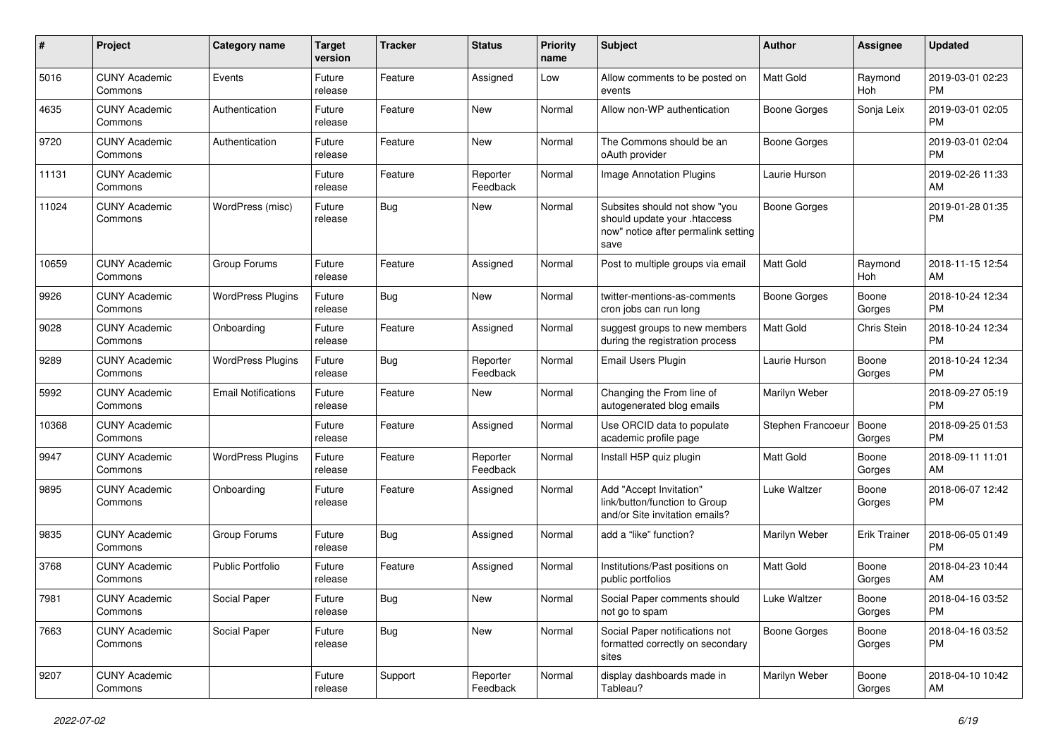| #     | Project                         | <b>Category name</b>       | <b>Target</b><br>version | <b>Tracker</b> | <b>Status</b>        | Priority<br>name | <b>Subject</b>                                                                                               | Author              | <b>Assignee</b>     | <b>Updated</b>                |
|-------|---------------------------------|----------------------------|--------------------------|----------------|----------------------|------------------|--------------------------------------------------------------------------------------------------------------|---------------------|---------------------|-------------------------------|
| 5016  | <b>CUNY Academic</b><br>Commons | Events                     | Future<br>release        | Feature        | Assigned             | Low              | Allow comments to be posted on<br>events                                                                     | <b>Matt Gold</b>    | Raymond<br>Hoh      | 2019-03-01 02:23<br><b>PM</b> |
| 4635  | <b>CUNY Academic</b><br>Commons | Authentication             | Future<br>release        | Feature        | New                  | Normal           | Allow non-WP authentication                                                                                  | <b>Boone Gorges</b> | Sonja Leix          | 2019-03-01 02:05<br><b>PM</b> |
| 9720  | <b>CUNY Academic</b><br>Commons | Authentication             | Future<br>release        | Feature        | <b>New</b>           | Normal           | The Commons should be an<br>oAuth provider                                                                   | Boone Gorges        |                     | 2019-03-01 02:04<br><b>PM</b> |
| 11131 | <b>CUNY Academic</b><br>Commons |                            | Future<br>release        | Feature        | Reporter<br>Feedback | Normal           | <b>Image Annotation Plugins</b>                                                                              | Laurie Hurson       |                     | 2019-02-26 11:33<br>AM        |
| 11024 | <b>CUNY Academic</b><br>Commons | WordPress (misc)           | Future<br>release        | Bug            | New                  | Normal           | Subsites should not show "you<br>should update your .htaccess<br>now" notice after permalink setting<br>save | <b>Boone Gorges</b> |                     | 2019-01-28 01:35<br><b>PM</b> |
| 10659 | <b>CUNY Academic</b><br>Commons | Group Forums               | Future<br>release        | Feature        | Assigned             | Normal           | Post to multiple groups via email                                                                            | <b>Matt Gold</b>    | Raymond<br>Hoh      | 2018-11-15 12:54<br>AM        |
| 9926  | <b>CUNY Academic</b><br>Commons | <b>WordPress Plugins</b>   | Future<br>release        | Bug            | <b>New</b>           | Normal           | twitter-mentions-as-comments<br>cron jobs can run long                                                       | Boone Gorges        | Boone<br>Gorges     | 2018-10-24 12:34<br><b>PM</b> |
| 9028  | <b>CUNY Academic</b><br>Commons | Onboarding                 | Future<br>release        | Feature        | Assigned             | Normal           | suggest groups to new members<br>during the registration process                                             | Matt Gold           | <b>Chris Stein</b>  | 2018-10-24 12:34<br><b>PM</b> |
| 9289  | <b>CUNY Academic</b><br>Commons | <b>WordPress Plugins</b>   | Future<br>release        | Bug            | Reporter<br>Feedback | Normal           | <b>Email Users Plugin</b>                                                                                    | Laurie Hurson       | Boone<br>Gorges     | 2018-10-24 12:34<br><b>PM</b> |
| 5992  | <b>CUNY Academic</b><br>Commons | <b>Email Notifications</b> | Future<br>release        | Feature        | New                  | Normal           | Changing the From line of<br>autogenerated blog emails                                                       | Marilyn Weber       |                     | 2018-09-27 05:19<br><b>PM</b> |
| 10368 | <b>CUNY Academic</b><br>Commons |                            | Future<br>release        | Feature        | Assigned             | Normal           | Use ORCID data to populate<br>academic profile page                                                          | Stephen Francoeur   | Boone<br>Gorges     | 2018-09-25 01:53<br><b>PM</b> |
| 9947  | <b>CUNY Academic</b><br>Commons | <b>WordPress Plugins</b>   | Future<br>release        | Feature        | Reporter<br>Feedback | Normal           | Install H5P quiz plugin                                                                                      | <b>Matt Gold</b>    | Boone<br>Gorges     | 2018-09-11 11:01<br>AM        |
| 9895  | <b>CUNY Academic</b><br>Commons | Onboarding                 | Future<br>release        | Feature        | Assigned             | Normal           | Add "Accept Invitation"<br>link/button/function to Group<br>and/or Site invitation emails?                   | Luke Waltzer        | Boone<br>Gorges     | 2018-06-07 12:42<br><b>PM</b> |
| 9835  | <b>CUNY Academic</b><br>Commons | Group Forums               | Future<br>release        | Bug            | Assigned             | Normal           | add a "like" function?                                                                                       | Marilyn Weber       | <b>Erik Trainer</b> | 2018-06-05 01:49<br><b>PM</b> |
| 3768  | <b>CUNY Academic</b><br>Commons | Public Portfolio           | Future<br>release        | Feature        | Assigned             | Normal           | Institutions/Past positions on<br>public portfolios                                                          | <b>Matt Gold</b>    | Boone<br>Gorges     | 2018-04-23 10:44<br>AM        |
| 7981  | <b>CUNY Academic</b><br>Commons | Social Paper               | Future<br>release        | Bug            | New                  | Normal           | Social Paper comments should<br>not go to spam                                                               | Luke Waltzer        | Boone<br>Gorges     | 2018-04-16 03:52<br><b>PM</b> |
| 7663  | <b>CUNY Academic</b><br>Commons | Social Paper               | Future<br>release        | Bug            | New                  | Normal           | Social Paper notifications not<br>formatted correctly on secondary<br>sites                                  | Boone Gorges        | Boone<br>Gorges     | 2018-04-16 03:52<br><b>PM</b> |
| 9207  | <b>CUNY Academic</b><br>Commons |                            | Future<br>release        | Support        | Reporter<br>Feedback | Normal           | display dashboards made in<br>Tableau?                                                                       | Marilyn Weber       | Boone<br>Gorges     | 2018-04-10 10:42<br>AM        |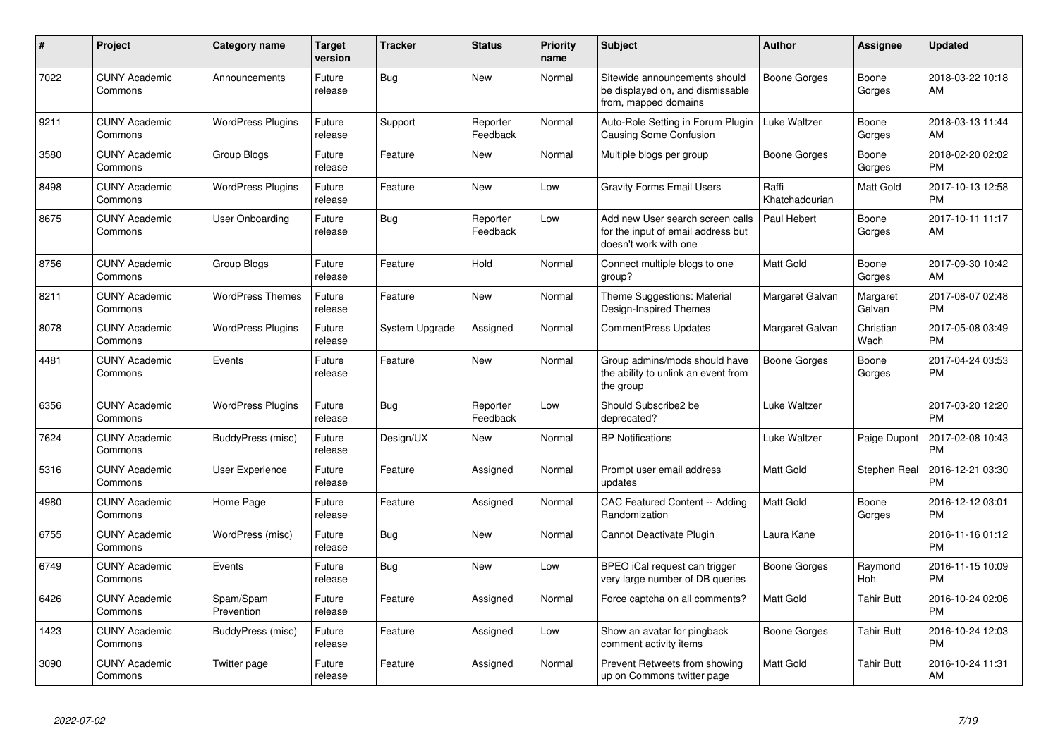| #    | Project                         | <b>Category name</b>     | <b>Target</b><br>version | <b>Tracker</b>        | <b>Status</b>        | <b>Priority</b><br>name | <b>Subject</b>                                                                                  | <b>Author</b>           | Assignee           | <b>Updated</b>                |
|------|---------------------------------|--------------------------|--------------------------|-----------------------|----------------------|-------------------------|-------------------------------------------------------------------------------------------------|-------------------------|--------------------|-------------------------------|
| 7022 | <b>CUNY Academic</b><br>Commons | Announcements            | Future<br>release        | Bug                   | <b>New</b>           | Normal                  | Sitewide announcements should<br>be displayed on, and dismissable<br>from, mapped domains       | Boone Gorges            | Boone<br>Gorges    | 2018-03-22 10:18<br>AM        |
| 9211 | <b>CUNY Academic</b><br>Commons | <b>WordPress Plugins</b> | Future<br>release        | Support               | Reporter<br>Feedback | Normal                  | Auto-Role Setting in Forum Plugin<br>Causing Some Confusion                                     | Luke Waltzer            | Boone<br>Gorges    | 2018-03-13 11:44<br>AM        |
| 3580 | <b>CUNY Academic</b><br>Commons | Group Blogs              | Future<br>release        | Feature               | New                  | Normal                  | Multiple blogs per group                                                                        | Boone Gorges            | Boone<br>Gorges    | 2018-02-20 02:02<br><b>PM</b> |
| 8498 | <b>CUNY Academic</b><br>Commons | <b>WordPress Plugins</b> | Future<br>release        | Feature               | New                  | Low                     | <b>Gravity Forms Email Users</b>                                                                | Raffi<br>Khatchadourian | Matt Gold          | 2017-10-13 12:58<br><b>PM</b> |
| 8675 | <b>CUNY Academic</b><br>Commons | User Onboarding          | Future<br>release        | Bug                   | Reporter<br>Feedback | Low                     | Add new User search screen calls<br>for the input of email address but<br>doesn't work with one | Paul Hebert             | Boone<br>Gorges    | 2017-10-11 11:17<br>AM        |
| 8756 | <b>CUNY Academic</b><br>Commons | Group Blogs              | Future<br>release        | Feature               | Hold                 | Normal                  | Connect multiple blogs to one<br>group?                                                         | <b>Matt Gold</b>        | Boone<br>Gorges    | 2017-09-30 10:42<br>AM        |
| 8211 | <b>CUNY Academic</b><br>Commons | <b>WordPress Themes</b>  | Future<br>release        | Feature               | <b>New</b>           | Normal                  | Theme Suggestions: Material<br>Design-Inspired Themes                                           | Margaret Galvan         | Margaret<br>Galvan | 2017-08-07 02:48<br><b>PM</b> |
| 8078 | <b>CUNY Academic</b><br>Commons | <b>WordPress Plugins</b> | Future<br>release        | <b>System Upgrade</b> | Assigned             | Normal                  | <b>CommentPress Updates</b>                                                                     | Margaret Galvan         | Christian<br>Wach  | 2017-05-08 03:49<br><b>PM</b> |
| 4481 | <b>CUNY Academic</b><br>Commons | Events                   | Future<br>release        | Feature               | <b>New</b>           | Normal                  | Group admins/mods should have<br>the ability to unlink an event from<br>the group               | Boone Gorges            | Boone<br>Gorges    | 2017-04-24 03:53<br><b>PM</b> |
| 6356 | <b>CUNY Academic</b><br>Commons | <b>WordPress Plugins</b> | Future<br>release        | Bug                   | Reporter<br>Feedback | Low                     | Should Subscribe2 be<br>deprecated?                                                             | Luke Waltzer            |                    | 2017-03-20 12:20<br><b>PM</b> |
| 7624 | <b>CUNY Academic</b><br>Commons | BuddyPress (misc)        | Future<br>release        | Design/UX             | <b>New</b>           | Normal                  | <b>BP Notifications</b>                                                                         | Luke Waltzer            | Paige Dupont       | 2017-02-08 10:43<br><b>PM</b> |
| 5316 | <b>CUNY Academic</b><br>Commons | <b>User Experience</b>   | Future<br>release        | Feature               | Assigned             | Normal                  | Prompt user email address<br>updates                                                            | Matt Gold               | Stephen Real       | 2016-12-21 03:30<br><b>PM</b> |
| 4980 | <b>CUNY Academic</b><br>Commons | Home Page                | Future<br>release        | Feature               | Assigned             | Normal                  | CAC Featured Content -- Adding<br>Randomization                                                 | <b>Matt Gold</b>        | Boone<br>Gorges    | 2016-12-12 03:01<br><b>PM</b> |
| 6755 | <b>CUNY Academic</b><br>Commons | WordPress (misc)         | Future<br>release        | Bug                   | New                  | Normal                  | Cannot Deactivate Plugin                                                                        | Laura Kane              |                    | 2016-11-16 01:12<br><b>PM</b> |
| 6749 | <b>CUNY Academic</b><br>Commons | Events                   | Future<br>release        | Bug                   | New                  | Low                     | BPEO iCal request can trigger<br>very large number of DB queries                                | Boone Gorges            | Raymond<br>Hoh     | 2016-11-15 10:09<br><b>PM</b> |
| 6426 | <b>CUNY Academic</b><br>Commons | Spam/Spam<br>Prevention  | Future<br>release        | Feature               | Assigned             | Normal                  | Force captcha on all comments?                                                                  | <b>Matt Gold</b>        | <b>Tahir Butt</b>  | 2016-10-24 02:06<br><b>PM</b> |
| 1423 | <b>CUNY Academic</b><br>Commons | BuddyPress (misc)        | Future<br>release        | Feature               | Assigned             | Low                     | Show an avatar for pingback<br>comment activity items                                           | Boone Gorges            | <b>Tahir Butt</b>  | 2016-10-24 12:03<br><b>PM</b> |
| 3090 | <b>CUNY Academic</b><br>Commons | Twitter page             | Future<br>release        | Feature               | Assigned             | Normal                  | Prevent Retweets from showing<br>up on Commons twitter page                                     | <b>Matt Gold</b>        | <b>Tahir Butt</b>  | 2016-10-24 11:31<br>AM        |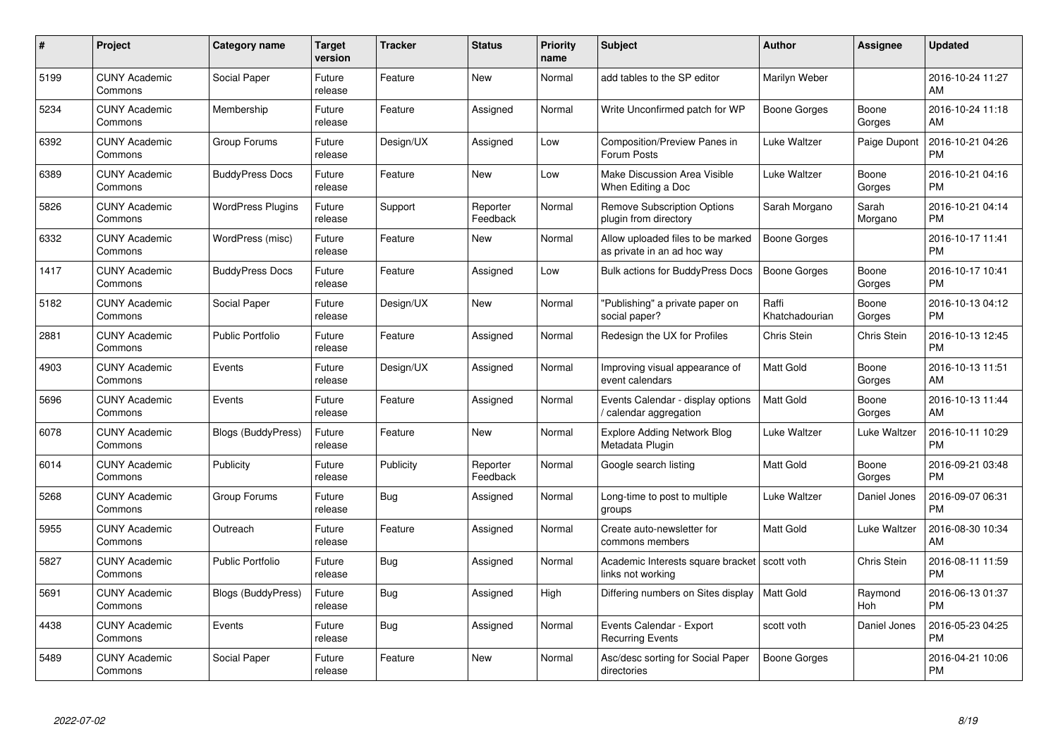| $\#$ | Project                         | <b>Category name</b>      | <b>Target</b><br>version | <b>Tracker</b> | <b>Status</b>        | Priority<br>name | <b>Subject</b>                                                      | <b>Author</b>           | <b>Assignee</b>  | <b>Updated</b>                |
|------|---------------------------------|---------------------------|--------------------------|----------------|----------------------|------------------|---------------------------------------------------------------------|-------------------------|------------------|-------------------------------|
| 5199 | <b>CUNY Academic</b><br>Commons | Social Paper              | Future<br>release        | Feature        | <b>New</b>           | Normal           | add tables to the SP editor                                         | Marilyn Weber           |                  | 2016-10-24 11:27<br>AM        |
| 5234 | <b>CUNY Academic</b><br>Commons | Membership                | Future<br>release        | Feature        | Assigned             | Normal           | Write Unconfirmed patch for WP                                      | Boone Gorges            | Boone<br>Gorges  | 2016-10-24 11:18<br>AM        |
| 6392 | <b>CUNY Academic</b><br>Commons | Group Forums              | Future<br>release        | Design/UX      | Assigned             | Low              | <b>Composition/Preview Panes in</b><br>Forum Posts                  | Luke Waltzer            | Paige Dupont     | 2016-10-21 04:26<br><b>PM</b> |
| 6389 | <b>CUNY Academic</b><br>Commons | <b>BuddyPress Docs</b>    | Future<br>release        | Feature        | <b>New</b>           | Low              | <b>Make Discussion Area Visible</b><br>When Editing a Doc           | Luke Waltzer            | Boone<br>Gorges  | 2016-10-21 04:16<br><b>PM</b> |
| 5826 | <b>CUNY Academic</b><br>Commons | <b>WordPress Plugins</b>  | Future<br>release        | Support        | Reporter<br>Feedback | Normal           | <b>Remove Subscription Options</b><br>plugin from directory         | Sarah Morgano           | Sarah<br>Morgano | 2016-10-21 04:14<br><b>PM</b> |
| 6332 | <b>CUNY Academic</b><br>Commons | WordPress (misc)          | Future<br>release        | Feature        | <b>New</b>           | Normal           | Allow uploaded files to be marked<br>as private in an ad hoc way    | <b>Boone Gorges</b>     |                  | 2016-10-17 11:41<br><b>PM</b> |
| 1417 | <b>CUNY Academic</b><br>Commons | <b>BuddyPress Docs</b>    | Future<br>release        | Feature        | Assigned             | Low              | Bulk actions for BuddyPress Docs                                    | <b>Boone Gorges</b>     | Boone<br>Gorges  | 2016-10-17 10:41<br><b>PM</b> |
| 5182 | <b>CUNY Academic</b><br>Commons | Social Paper              | Future<br>release        | Design/UX      | <b>New</b>           | Normal           | "Publishing" a private paper on<br>social paper?                    | Raffi<br>Khatchadourian | Boone<br>Gorges  | 2016-10-13 04:12<br><b>PM</b> |
| 2881 | <b>CUNY Academic</b><br>Commons | <b>Public Portfolio</b>   | Future<br>release        | Feature        | Assigned             | Normal           | Redesign the UX for Profiles                                        | Chris Stein             | Chris Stein      | 2016-10-13 12:45<br><b>PM</b> |
| 4903 | <b>CUNY Academic</b><br>Commons | Events                    | Future<br>release        | Design/UX      | Assigned             | Normal           | Improving visual appearance of<br>event calendars                   | <b>Matt Gold</b>        | Boone<br>Gorges  | 2016-10-13 11:51<br>AM        |
| 5696 | <b>CUNY Academic</b><br>Commons | Events                    | Future<br>release        | Feature        | Assigned             | Normal           | Events Calendar - display options<br>calendar aggregation           | Matt Gold               | Boone<br>Gorges  | 2016-10-13 11:44<br>AM        |
| 6078 | <b>CUNY Academic</b><br>Commons | <b>Blogs (BuddyPress)</b> | Future<br>release        | Feature        | New                  | Normal           | Explore Adding Network Blog<br>Metadata Plugin                      | Luke Waltzer            | Luke Waltzer     | 2016-10-11 10:29<br><b>PM</b> |
| 6014 | <b>CUNY Academic</b><br>Commons | Publicity                 | Future<br>release        | Publicity      | Reporter<br>Feedback | Normal           | Google search listing                                               | Matt Gold               | Boone<br>Gorges  | 2016-09-21 03:48<br><b>PM</b> |
| 5268 | <b>CUNY Academic</b><br>Commons | Group Forums              | Future<br>release        | Bug            | Assigned             | Normal           | Long-time to post to multiple<br>groups                             | Luke Waltzer            | Daniel Jones     | 2016-09-07 06:31<br><b>PM</b> |
| 5955 | <b>CUNY Academic</b><br>Commons | Outreach                  | Future<br>release        | Feature        | Assigned             | Normal           | Create auto-newsletter for<br>commons members                       | Matt Gold               | Luke Waltzer     | 2016-08-30 10:34<br>AM        |
| 5827 | <b>CUNY Academic</b><br>Commons | <b>Public Portfolio</b>   | Future<br>release        | Bug            | Assigned             | Normal           | Academic Interests square bracket   scott voth<br>links not working |                         | Chris Stein      | 2016-08-11 11:59<br><b>PM</b> |
| 5691 | <b>CUNY Academic</b><br>Commons | <b>Blogs (BuddyPress)</b> | Future<br>release        | <b>Bug</b>     | Assigned             | High             | Differing numbers on Sites display                                  | <b>Matt Gold</b>        | Raymond<br>Hoh   | 2016-06-13 01:37<br><b>PM</b> |
| 4438 | <b>CUNY Academic</b><br>Commons | Events                    | Future<br>release        | Bug            | Assigned             | Normal           | Events Calendar - Export<br><b>Recurring Events</b>                 | scott voth              | Daniel Jones     | 2016-05-23 04:25<br><b>PM</b> |
| 5489 | <b>CUNY Academic</b><br>Commons | Social Paper              | Future<br>release        | Feature        | New                  | Normal           | Asc/desc sorting for Social Paper<br>directories                    | Boone Gorges            |                  | 2016-04-21 10:06<br><b>PM</b> |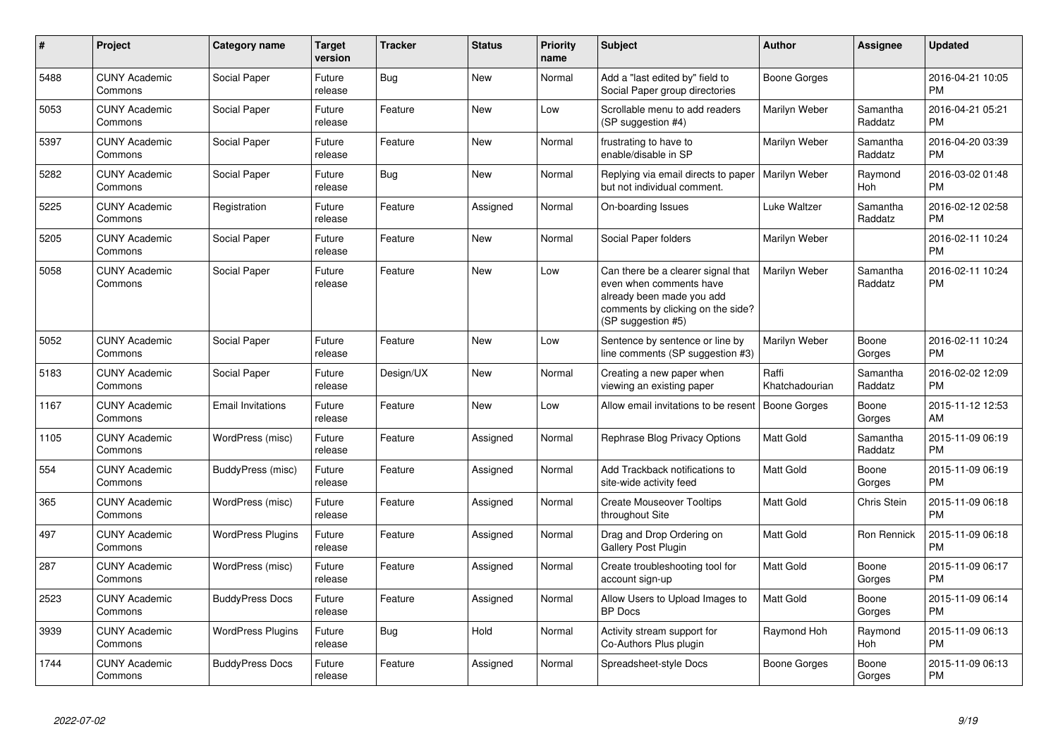| #    | Project                         | <b>Category name</b>     | <b>Target</b><br>version | <b>Tracker</b> | <b>Status</b> | <b>Priority</b><br>name | <b>Subject</b>                                                                                                                                        | Author                  | <b>Assignee</b>     | <b>Updated</b>                |
|------|---------------------------------|--------------------------|--------------------------|----------------|---------------|-------------------------|-------------------------------------------------------------------------------------------------------------------------------------------------------|-------------------------|---------------------|-------------------------------|
| 5488 | <b>CUNY Academic</b><br>Commons | Social Paper             | Future<br>release        | Bug            | <b>New</b>    | Normal                  | Add a "last edited by" field to<br>Social Paper group directories                                                                                     | Boone Gorges            |                     | 2016-04-21 10:05<br><b>PM</b> |
| 5053 | <b>CUNY Academic</b><br>Commons | Social Paper             | Future<br>release        | Feature        | <b>New</b>    | Low                     | Scrollable menu to add readers<br>(SP suggestion #4)                                                                                                  | Marilyn Weber           | Samantha<br>Raddatz | 2016-04-21 05:21<br><b>PM</b> |
| 5397 | <b>CUNY Academic</b><br>Commons | Social Paper             | Future<br>release        | Feature        | New           | Normal                  | frustrating to have to<br>enable/disable in SP                                                                                                        | Marilyn Weber           | Samantha<br>Raddatz | 2016-04-20 03:39<br><b>PM</b> |
| 5282 | <b>CUNY Academic</b><br>Commons | Social Paper             | Future<br>release        | Bug            | <b>New</b>    | Normal                  | Replying via email directs to paper<br>but not individual comment.                                                                                    | Marilyn Weber           | Raymond<br>Hoh      | 2016-03-02 01:48<br><b>PM</b> |
| 5225 | <b>CUNY Academic</b><br>Commons | Registration             | Future<br>release        | Feature        | Assigned      | Normal                  | On-boarding Issues                                                                                                                                    | Luke Waltzer            | Samantha<br>Raddatz | 2016-02-12 02:58<br><b>PM</b> |
| 5205 | <b>CUNY Academic</b><br>Commons | Social Paper             | Future<br>release        | Feature        | <b>New</b>    | Normal                  | Social Paper folders                                                                                                                                  | Marilyn Weber           |                     | 2016-02-11 10:24<br><b>PM</b> |
| 5058 | <b>CUNY Academic</b><br>Commons | Social Paper             | Future<br>release        | Feature        | <b>New</b>    | Low                     | Can there be a clearer signal that<br>even when comments have<br>already been made you add<br>comments by clicking on the side?<br>(SP suggestion #5) | Marilyn Weber           | Samantha<br>Raddatz | 2016-02-11 10:24<br><b>PM</b> |
| 5052 | <b>CUNY Academic</b><br>Commons | Social Paper             | Future<br>release        | Feature        | New           | Low                     | Sentence by sentence or line by<br>line comments (SP suggestion #3)                                                                                   | Marilyn Weber           | Boone<br>Gorges     | 2016-02-11 10:24<br><b>PM</b> |
| 5183 | <b>CUNY Academic</b><br>Commons | Social Paper             | Future<br>release        | Design/UX      | <b>New</b>    | Normal                  | Creating a new paper when<br>viewing an existing paper                                                                                                | Raffi<br>Khatchadourian | Samantha<br>Raddatz | 2016-02-02 12:09<br><b>PM</b> |
| 1167 | <b>CUNY Academic</b><br>Commons | <b>Email Invitations</b> | Future<br>release        | Feature        | <b>New</b>    | Low                     | Allow email invitations to be resent                                                                                                                  | Boone Gorges            | Boone<br>Gorges     | 2015-11-12 12:53<br>AM        |
| 1105 | <b>CUNY Academic</b><br>Commons | WordPress (misc)         | Future<br>release        | Feature        | Assigned      | Normal                  | Rephrase Blog Privacy Options                                                                                                                         | Matt Gold               | Samantha<br>Raddatz | 2015-11-09 06:19<br><b>PM</b> |
| 554  | <b>CUNY Academic</b><br>Commons | BuddyPress (misc)        | Future<br>release        | Feature        | Assigned      | Normal                  | Add Trackback notifications to<br>site-wide activity feed                                                                                             | Matt Gold               | Boone<br>Gorges     | 2015-11-09 06:19<br>PM        |
| 365  | <b>CUNY Academic</b><br>Commons | WordPress (misc)         | Future<br>release        | Feature        | Assigned      | Normal                  | <b>Create Mouseover Tooltips</b><br>throughout Site                                                                                                   | Matt Gold               | Chris Stein         | 2015-11-09 06:18<br><b>PM</b> |
| 497  | <b>CUNY Academic</b><br>Commons | <b>WordPress Plugins</b> | Future<br>release        | Feature        | Assigned      | Normal                  | Drag and Drop Ordering on<br><b>Gallery Post Plugin</b>                                                                                               | <b>Matt Gold</b>        | Ron Rennick         | 2015-11-09 06:18<br><b>PM</b> |
| 287  | <b>CUNY Academic</b><br>Commons | WordPress (misc)         | Future<br>release        | Feature        | Assigned      | Normal                  | Create troubleshooting tool for<br>account sign-up                                                                                                    | <b>Matt Gold</b>        | Boone<br>Gorges     | 2015-11-09 06:17<br><b>PM</b> |
| 2523 | <b>CUNY Academic</b><br>Commons | <b>BuddyPress Docs</b>   | Future<br>release        | Feature        | Assigned      | Normal                  | Allow Users to Upload Images to<br><b>BP</b> Docs                                                                                                     | <b>Matt Gold</b>        | Boone<br>Gorges     | 2015-11-09 06:14<br><b>PM</b> |
| 3939 | <b>CUNY Academic</b><br>Commons | <b>WordPress Plugins</b> | Future<br>release        | <b>Bug</b>     | Hold          | Normal                  | Activity stream support for<br>Co-Authors Plus plugin                                                                                                 | Raymond Hoh             | Raymond<br>Hoh      | 2015-11-09 06:13<br><b>PM</b> |
| 1744 | <b>CUNY Academic</b><br>Commons | <b>BuddyPress Docs</b>   | Future<br>release        | Feature        | Assigned      | Normal                  | Spreadsheet-style Docs                                                                                                                                | Boone Gorges            | Boone<br>Gorges     | 2015-11-09 06:13<br>PM        |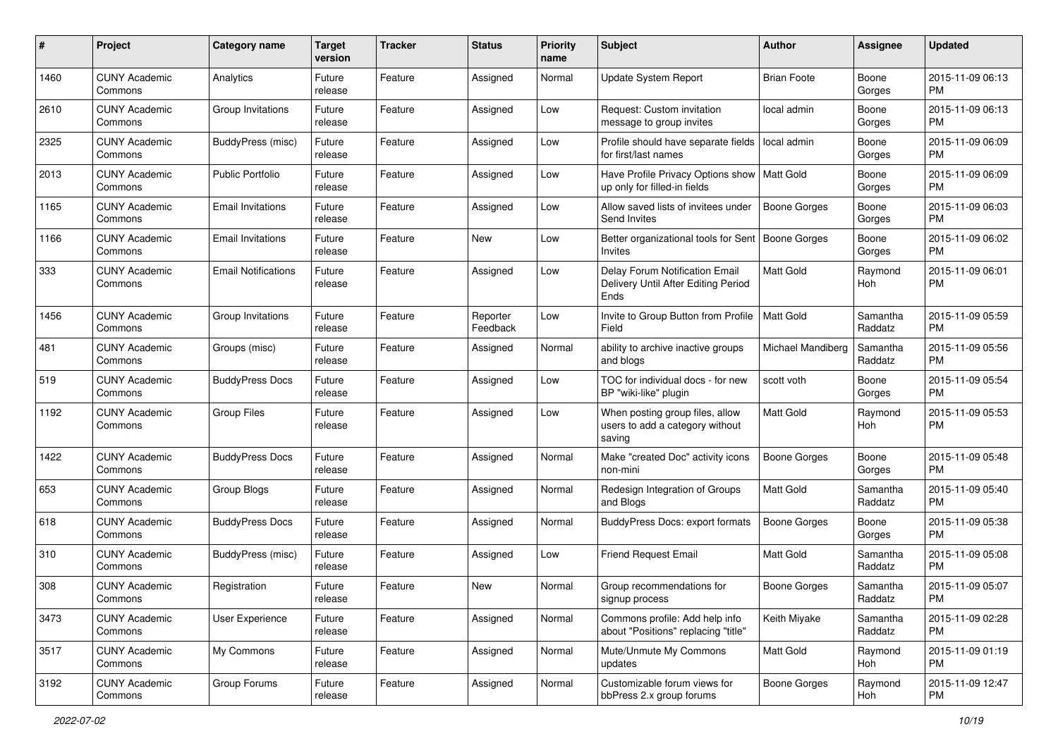| #    | Project                         | <b>Category name</b>       | <b>Target</b><br>version | <b>Tracker</b> | <b>Status</b>        | <b>Priority</b><br>name | <b>Subject</b>                                                                | Author                   | <b>Assignee</b>     | <b>Updated</b>                |
|------|---------------------------------|----------------------------|--------------------------|----------------|----------------------|-------------------------|-------------------------------------------------------------------------------|--------------------------|---------------------|-------------------------------|
| 1460 | <b>CUNY Academic</b><br>Commons | Analytics                  | Future<br>release        | Feature        | Assigned             | Normal                  | <b>Update System Report</b>                                                   | <b>Brian Foote</b>       | Boone<br>Gorges     | 2015-11-09 06:13<br>PM.       |
| 2610 | <b>CUNY Academic</b><br>Commons | Group Invitations          | Future<br>release        | Feature        | Assigned             | Low                     | Request: Custom invitation<br>message to group invites                        | local admin              | Boone<br>Gorges     | 2015-11-09 06:13<br><b>PM</b> |
| 2325 | <b>CUNY Academic</b><br>Commons | BuddyPress (misc)          | Future<br>release        | Feature        | Assigned             | Low                     | Profile should have separate fields<br>for first/last names                   | local admin              | Boone<br>Gorges     | 2015-11-09 06:09<br><b>PM</b> |
| 2013 | <b>CUNY Academic</b><br>Commons | <b>Public Portfolio</b>    | Future<br>release        | Feature        | Assigned             | Low                     | Have Profile Privacy Options show<br>up only for filled-in fields             | Matt Gold                | Boone<br>Gorges     | 2015-11-09 06:09<br>PM.       |
| 1165 | <b>CUNY Academic</b><br>Commons | <b>Email Invitations</b>   | Future<br>release        | Feature        | Assigned             | Low                     | Allow saved lists of invitees under<br>Send Invites                           | Boone Gorges             | Boone<br>Gorges     | 2015-11-09 06:03<br><b>PM</b> |
| 1166 | <b>CUNY Academic</b><br>Commons | <b>Email Invitations</b>   | Future<br>release        | Feature        | New                  | Low                     | Better organizational tools for Sent<br><b>Invites</b>                        | Boone Gorges             | Boone<br>Gorges     | 2015-11-09 06:02<br>PM.       |
| 333  | <b>CUNY Academic</b><br>Commons | <b>Email Notifications</b> | Future<br>release        | Feature        | Assigned             | Low                     | Delay Forum Notification Email<br>Delivery Until After Editing Period<br>Ends | <b>Matt Gold</b>         | Raymond<br>Hoh      | 2015-11-09 06:01<br>PM.       |
| 1456 | <b>CUNY Academic</b><br>Commons | Group Invitations          | Future<br>release        | Feature        | Reporter<br>Feedback | Low                     | Invite to Group Button from Profile<br>Field                                  | <b>Matt Gold</b>         | Samantha<br>Raddatz | 2015-11-09 05:59<br><b>PM</b> |
| 481  | <b>CUNY Academic</b><br>Commons | Groups (misc)              | Future<br>release        | Feature        | Assigned             | Normal                  | ability to archive inactive groups<br>and blogs                               | <b>Michael Mandiberg</b> | Samantha<br>Raddatz | 2015-11-09 05:56<br>PM.       |
| 519  | <b>CUNY Academic</b><br>Commons | <b>BuddyPress Docs</b>     | Future<br>release        | Feature        | Assigned             | Low                     | TOC for individual docs - for new<br>BP "wiki-like" plugin                    | scott voth               | Boone<br>Gorges     | 2015-11-09 05:54<br>PM.       |
| 1192 | <b>CUNY Academic</b><br>Commons | <b>Group Files</b>         | Future<br>release        | Feature        | Assigned             | Low                     | When posting group files, allow<br>users to add a category without<br>saving  | Matt Gold                | Raymond<br>Hoh      | 2015-11-09 05:53<br><b>PM</b> |
| 1422 | <b>CUNY Academic</b><br>Commons | <b>BuddyPress Docs</b>     | Future<br>release        | Feature        | Assigned             | Normal                  | Make "created Doc" activity icons<br>non-mini                                 | Boone Gorges             | Boone<br>Gorges     | 2015-11-09 05:48<br>PM.       |
| 653  | <b>CUNY Academic</b><br>Commons | Group Blogs                | Future<br>release        | Feature        | Assigned             | Normal                  | Redesign Integration of Groups<br>and Blogs                                   | <b>Matt Gold</b>         | Samantha<br>Raddatz | 2015-11-09 05:40<br>PM.       |
| 618  | <b>CUNY Academic</b><br>Commons | <b>BuddyPress Docs</b>     | Future<br>release        | Feature        | Assigned             | Normal                  | <b>BuddyPress Docs: export formats</b>                                        | Boone Gorges             | Boone<br>Gorges     | 2015-11-09 05:38<br><b>PM</b> |
| 310  | <b>CUNY Academic</b><br>Commons | <b>BuddyPress (misc)</b>   | Future<br>release        | Feature        | Assigned             | Low                     | Friend Request Email                                                          | Matt Gold                | Samantha<br>Raddatz | 2015-11-09 05:08<br><b>PM</b> |
| 308  | <b>CUNY Academic</b><br>Commons | Registration               | Future<br>release        | Feature        | New                  | Normal                  | Group recommendations for<br>signup process                                   | <b>Boone Gorges</b>      | Samantha<br>Raddatz | 2015-11-09 05:07<br>PM        |
| 3473 | <b>CUNY Academic</b><br>Commons | User Experience            | Future<br>release        | Feature        | Assigned             | Normal                  | Commons profile: Add help info<br>about "Positions" replacing "title"         | Keith Miyake             | Samantha<br>Raddatz | 2015-11-09 02:28<br>PM        |
| 3517 | <b>CUNY Academic</b><br>Commons | My Commons                 | Future<br>release        | Feature        | Assigned             | Normal                  | Mute/Unmute My Commons<br>updates                                             | Matt Gold                | Raymond<br>Hoh      | 2015-11-09 01:19<br><b>PM</b> |
| 3192 | <b>CUNY Academic</b><br>Commons | Group Forums               | Future<br>release        | Feature        | Assigned             | Normal                  | Customizable forum views for<br>bbPress 2.x group forums                      | Boone Gorges             | Raymond<br>Hoh      | 2015-11-09 12:47<br><b>PM</b> |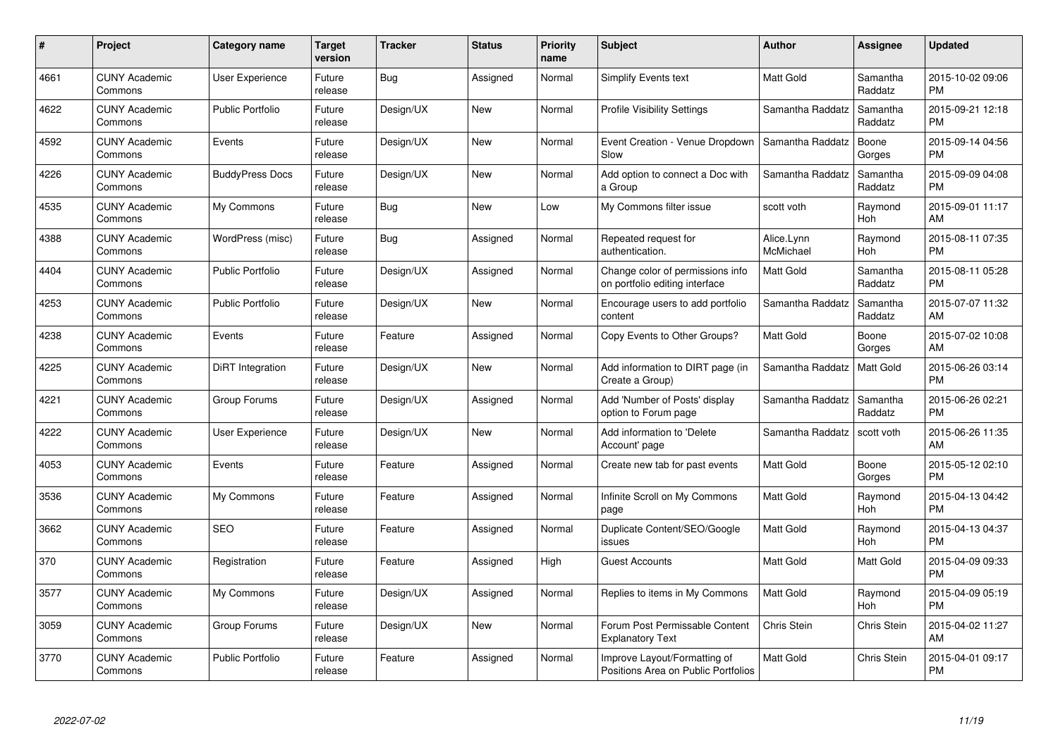| #    | Project                         | <b>Category name</b>    | Target<br>version | <b>Tracker</b> | <b>Status</b> | Priority<br>name | <b>Subject</b>                                                      | <b>Author</b>           | <b>Assignee</b>     | <b>Updated</b>                |
|------|---------------------------------|-------------------------|-------------------|----------------|---------------|------------------|---------------------------------------------------------------------|-------------------------|---------------------|-------------------------------|
| 4661 | <b>CUNY Academic</b><br>Commons | <b>User Experience</b>  | Future<br>release | Bug            | Assigned      | Normal           | Simplify Events text                                                | <b>Matt Gold</b>        | Samantha<br>Raddatz | 2015-10-02 09:06<br><b>PM</b> |
| 4622 | <b>CUNY Academic</b><br>Commons | <b>Public Portfolio</b> | Future<br>release | Design/UX      | <b>New</b>    | Normal           | <b>Profile Visibility Settings</b>                                  | Samantha Raddatz        | Samantha<br>Raddatz | 2015-09-21 12:18<br><b>PM</b> |
| 4592 | <b>CUNY Academic</b><br>Commons | Events                  | Future<br>release | Design/UX      | <b>New</b>    | Normal           | Event Creation - Venue Dropdown<br>Slow                             | Samantha Raddatz        | Boone<br>Gorges     | 2015-09-14 04:56<br><b>PM</b> |
| 4226 | <b>CUNY Academic</b><br>Commons | <b>BuddyPress Docs</b>  | Future<br>release | Design/UX      | <b>New</b>    | Normal           | Add option to connect a Doc with<br>a Group                         | Samantha Raddatz        | Samantha<br>Raddatz | 2015-09-09 04:08<br><b>PM</b> |
| 4535 | <b>CUNY Academic</b><br>Commons | My Commons              | Future<br>release | <b>Bug</b>     | <b>New</b>    | Low              | My Commons filter issue                                             | scott voth              | Raymond<br>Hoh      | 2015-09-01 11:17<br>AM        |
| 4388 | <b>CUNY Academic</b><br>Commons | WordPress (misc)        | Future<br>release | <b>Bug</b>     | Assigned      | Normal           | Repeated request for<br>authentication.                             | Alice.Lynn<br>McMichael | Raymond<br>Hoh      | 2015-08-11 07:35<br><b>PM</b> |
| 4404 | <b>CUNY Academic</b><br>Commons | <b>Public Portfolio</b> | Future<br>release | Design/UX      | Assigned      | Normal           | Change color of permissions info<br>on portfolio editing interface  | Matt Gold               | Samantha<br>Raddatz | 2015-08-11 05:28<br><b>PM</b> |
| 4253 | <b>CUNY Academic</b><br>Commons | <b>Public Portfolio</b> | Future<br>release | Design/UX      | <b>New</b>    | Normal           | Encourage users to add portfolio<br>content                         | Samantha Raddatz        | Samantha<br>Raddatz | 2015-07-07 11:32<br>AM        |
| 4238 | <b>CUNY Academic</b><br>Commons | Events                  | Future<br>release | Feature        | Assigned      | Normal           | Copy Events to Other Groups?                                        | Matt Gold               | Boone<br>Gorges     | 2015-07-02 10:08<br>AM        |
| 4225 | <b>CUNY Academic</b><br>Commons | DiRT Integration        | Future<br>release | Design/UX      | New           | Normal           | Add information to DIRT page (in<br>Create a Group)                 | Samantha Raddatz        | <b>Matt Gold</b>    | 2015-06-26 03:14<br><b>PM</b> |
| 4221 | <b>CUNY Academic</b><br>Commons | Group Forums            | Future<br>release | Design/UX      | Assigned      | Normal           | Add 'Number of Posts' display<br>option to Forum page               | Samantha Raddatz        | Samantha<br>Raddatz | 2015-06-26 02:21<br><b>PM</b> |
| 4222 | <b>CUNY Academic</b><br>Commons | User Experience         | Future<br>release | Design/UX      | New           | Normal           | Add information to 'Delete<br>Account' page                         | Samantha Raddatz        | scott voth          | 2015-06-26 11:35<br>AM        |
| 4053 | <b>CUNY Academic</b><br>Commons | Events                  | Future<br>release | Feature        | Assigned      | Normal           | Create new tab for past events                                      | Matt Gold               | Boone<br>Gorges     | 2015-05-12 02:10<br><b>PM</b> |
| 3536 | <b>CUNY Academic</b><br>Commons | My Commons              | Future<br>release | Feature        | Assigned      | Normal           | Infinite Scroll on My Commons<br>page                               | Matt Gold               | Raymond<br>Hoh      | 2015-04-13 04:42<br><b>PM</b> |
| 3662 | <b>CUNY Academic</b><br>Commons | <b>SEO</b>              | Future<br>release | Feature        | Assigned      | Normal           | Duplicate Content/SEO/Google<br>issues                              | <b>Matt Gold</b>        | Raymond<br>Hoh      | 2015-04-13 04:37<br><b>PM</b> |
| 370  | <b>CUNY Academic</b><br>Commons | Registration            | Future<br>release | Feature        | Assigned      | High             | <b>Guest Accounts</b>                                               | Matt Gold               | Matt Gold           | 2015-04-09 09:33<br><b>PM</b> |
| 3577 | <b>CUNY Academic</b><br>Commons | My Commons              | Future<br>release | Design/UX      | Assigned      | Normal           | Replies to items in My Commons                                      | <b>Matt Gold</b>        | Raymond<br>Hoh      | 2015-04-09 05:19<br><b>PM</b> |
| 3059 | <b>CUNY Academic</b><br>Commons | Group Forums            | Future<br>release | Design/UX      | New           | Normal           | Forum Post Permissable Content<br><b>Explanatory Text</b>           | Chris Stein             | Chris Stein         | 2015-04-02 11:27<br>AM        |
| 3770 | CUNY Academic<br>Commons        | <b>Public Portfolio</b> | Future<br>release | Feature        | Assigned      | Normal           | Improve Layout/Formatting of<br>Positions Area on Public Portfolios | Matt Gold               | <b>Chris Stein</b>  | 2015-04-01 09:17<br><b>PM</b> |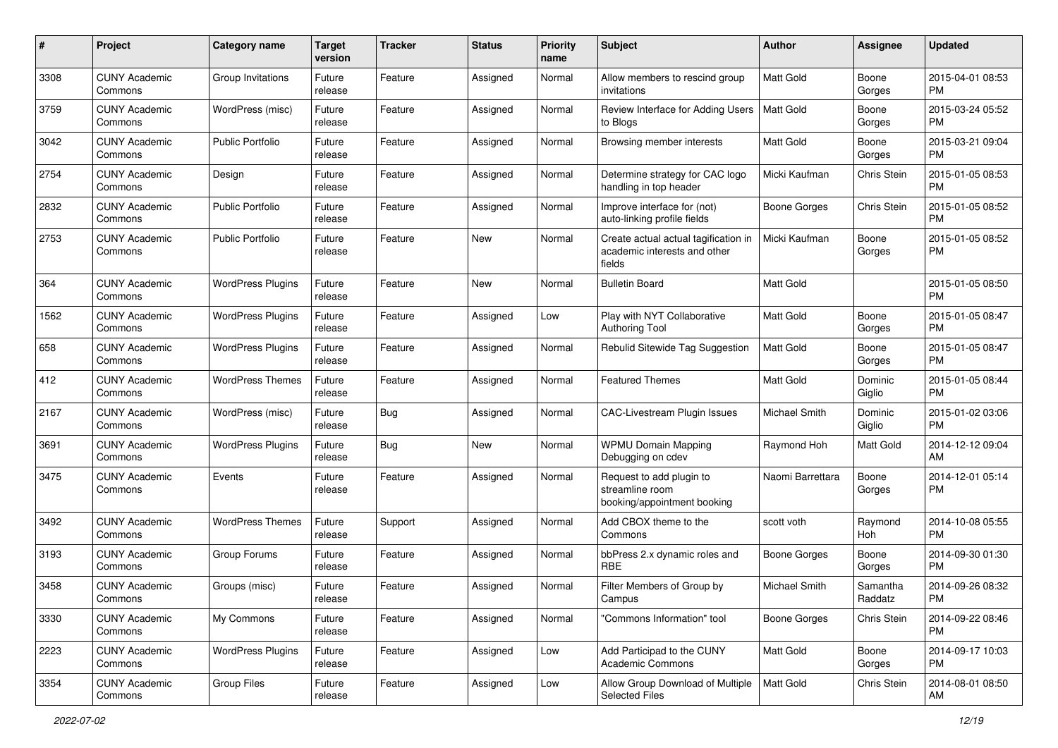| #    | Project                         | <b>Category name</b>     | <b>Target</b><br>version | <b>Tracker</b> | <b>Status</b> | Priority<br>name | <b>Subject</b>                                                                 | <b>Author</b>       | <b>Assignee</b>     | <b>Updated</b>                |
|------|---------------------------------|--------------------------|--------------------------|----------------|---------------|------------------|--------------------------------------------------------------------------------|---------------------|---------------------|-------------------------------|
| 3308 | <b>CUNY Academic</b><br>Commons | Group Invitations        | Future<br>release        | Feature        | Assigned      | Normal           | Allow members to rescind group<br>invitations                                  | <b>Matt Gold</b>    | Boone<br>Gorges     | 2015-04-01 08:53<br>PM.       |
| 3759 | <b>CUNY Academic</b><br>Commons | WordPress (misc)         | Future<br>release        | Feature        | Assigned      | Normal           | Review Interface for Adding Users<br>to Blogs                                  | <b>Matt Gold</b>    | Boone<br>Gorges     | 2015-03-24 05:52<br><b>PM</b> |
| 3042 | <b>CUNY Academic</b><br>Commons | <b>Public Portfolio</b>  | Future<br>release        | Feature        | Assigned      | Normal           | Browsing member interests                                                      | Matt Gold           | Boone<br>Gorges     | 2015-03-21 09:04<br><b>PM</b> |
| 2754 | <b>CUNY Academic</b><br>Commons | Design                   | Future<br>release        | Feature        | Assigned      | Normal           | Determine strategy for CAC logo<br>handling in top header                      | Micki Kaufman       | Chris Stein         | 2015-01-05 08:53<br><b>PM</b> |
| 2832 | <b>CUNY Academic</b><br>Commons | Public Portfolio         | Future<br>release        | Feature        | Assigned      | Normal           | Improve interface for (not)<br>auto-linking profile fields                     | Boone Gorges        | Chris Stein         | 2015-01-05 08:52<br><b>PM</b> |
| 2753 | <b>CUNY Academic</b><br>Commons | <b>Public Portfolio</b>  | Future<br>release        | Feature        | New           | Normal           | Create actual actual tagification in<br>academic interests and other<br>fields | Micki Kaufman       | Boone<br>Gorges     | 2015-01-05 08:52<br>PM.       |
| 364  | <b>CUNY Academic</b><br>Commons | <b>WordPress Plugins</b> | Future<br>release        | Feature        | New           | Normal           | <b>Bulletin Board</b>                                                          | Matt Gold           |                     | 2015-01-05 08:50<br><b>PM</b> |
| 1562 | <b>CUNY Academic</b><br>Commons | <b>WordPress Plugins</b> | Future<br>release        | Feature        | Assigned      | Low              | Play with NYT Collaborative<br>Authoring Tool                                  | Matt Gold           | Boone<br>Gorges     | 2015-01-05 08:47<br><b>PM</b> |
| 658  | <b>CUNY Academic</b><br>Commons | <b>WordPress Plugins</b> | Future<br>release        | Feature        | Assigned      | Normal           | Rebulid Sitewide Tag Suggestion                                                | <b>Matt Gold</b>    | Boone<br>Gorges     | 2015-01-05 08:47<br>PM.       |
| 412  | <b>CUNY Academic</b><br>Commons | <b>WordPress Themes</b>  | Future<br>release        | Feature        | Assigned      | Normal           | <b>Featured Themes</b>                                                         | Matt Gold           | Dominic<br>Giglio   | 2015-01-05 08:44<br><b>PM</b> |
| 2167 | <b>CUNY Academic</b><br>Commons | WordPress (misc)         | Future<br>release        | Bug            | Assigned      | Normal           | <b>CAC-Livestream Plugin Issues</b>                                            | Michael Smith       | Dominic<br>Giglio   | 2015-01-02 03:06<br><b>PM</b> |
| 3691 | <b>CUNY Academic</b><br>Commons | <b>WordPress Plugins</b> | Future<br>release        | Bug            | New           | Normal           | <b>WPMU Domain Mapping</b><br>Debugging on cdev                                | Raymond Hoh         | Matt Gold           | 2014-12-12 09:04<br>AM        |
| 3475 | <b>CUNY Academic</b><br>Commons | Events                   | Future<br>release        | Feature        | Assigned      | Normal           | Request to add plugin to<br>streamline room<br>booking/appointment booking     | Naomi Barrettara    | Boone<br>Gorges     | 2014-12-01 05:14<br><b>PM</b> |
| 3492 | <b>CUNY Academic</b><br>Commons | <b>WordPress Themes</b>  | Future<br>release        | Support        | Assigned      | Normal           | Add CBOX theme to the<br>Commons                                               | scott voth          | Raymond<br>Hoh      | 2014-10-08 05:55<br><b>PM</b> |
| 3193 | <b>CUNY Academic</b><br>Commons | Group Forums             | Future<br>release        | Feature        | Assigned      | Normal           | bbPress 2.x dynamic roles and<br><b>RBE</b>                                    | Boone Gorges        | Boone<br>Gorges     | 2014-09-30 01:30<br>PM.       |
| 3458 | <b>CUNY Academic</b><br>Commons | Groups (misc)            | Future<br>release        | Feature        | Assigned      | Normal           | Filter Members of Group by<br>Campus                                           | Michael Smith       | Samantha<br>Raddatz | 2014-09-26 08:32<br>PM        |
| 3330 | <b>CUNY Academic</b><br>Commons | My Commons               | Future<br>release        | Feature        | Assigned      | Normal           | "Commons Information" tool                                                     | <b>Boone Gorges</b> | Chris Stein         | 2014-09-22 08:46<br><b>PM</b> |
| 2223 | <b>CUNY Academic</b><br>Commons | <b>WordPress Plugins</b> | Future<br>release        | Feature        | Assigned      | Low              | Add Participad to the CUNY<br><b>Academic Commons</b>                          | Matt Gold           | Boone<br>Gorges     | 2014-09-17 10:03<br><b>PM</b> |
| 3354 | <b>CUNY Academic</b><br>Commons | <b>Group Files</b>       | Future<br>release        | Feature        | Assigned      | Low              | Allow Group Download of Multiple<br>Selected Files                             | Matt Gold           | Chris Stein         | 2014-08-01 08:50<br>AM        |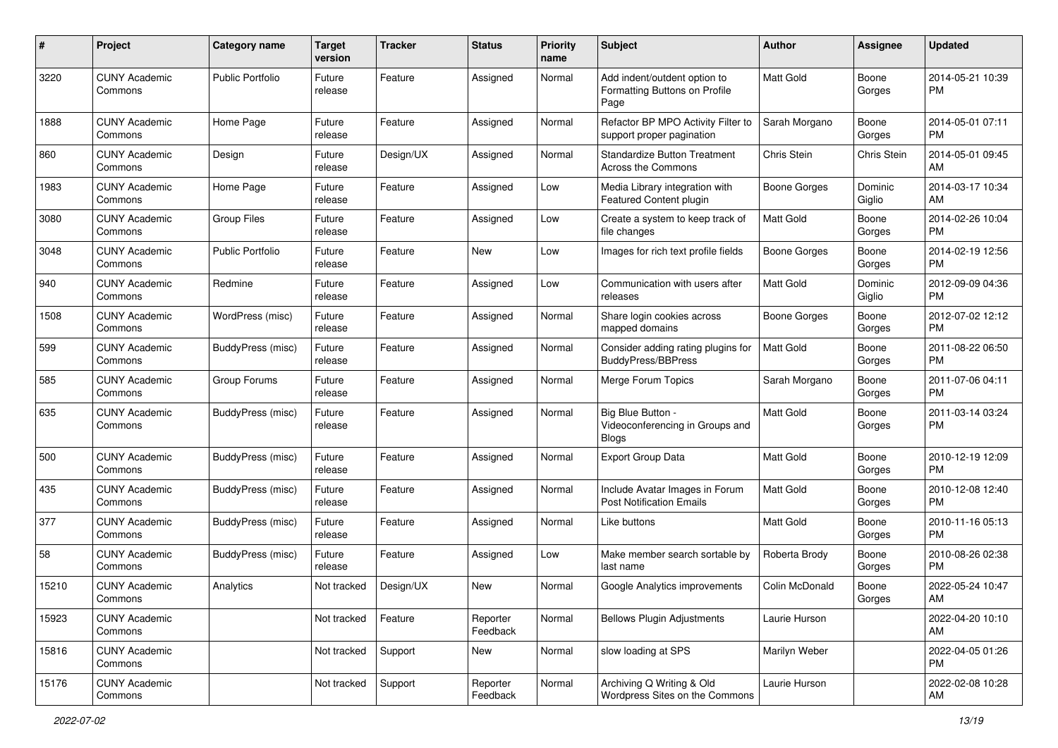| #             | Project                         | <b>Category name</b>     | <b>Target</b><br>version | <b>Tracker</b> | <b>Status</b>        | Priority<br>name | <b>Subject</b>                                                        | Author           | <b>Assignee</b>   | <b>Updated</b>                |
|---------------|---------------------------------|--------------------------|--------------------------|----------------|----------------------|------------------|-----------------------------------------------------------------------|------------------|-------------------|-------------------------------|
| 3220          | <b>CUNY Academic</b><br>Commons | <b>Public Portfolio</b>  | Future<br>release        | Feature        | Assigned             | Normal           | Add indent/outdent option to<br>Formatting Buttons on Profile<br>Page | <b>Matt Gold</b> | Boone<br>Gorges   | 2014-05-21 10:39<br><b>PM</b> |
| 1888          | <b>CUNY Academic</b><br>Commons | Home Page                | Future<br>release        | Feature        | Assigned             | Normal           | Refactor BP MPO Activity Filter to<br>support proper pagination       | Sarah Morgano    | Boone<br>Gorges   | 2014-05-01 07:11<br><b>PM</b> |
| 860           | <b>CUNY Academic</b><br>Commons | Design                   | Future<br>release        | Design/UX      | Assigned             | Normal           | <b>Standardize Button Treatment</b><br>Across the Commons             | Chris Stein      | Chris Stein       | 2014-05-01 09:45<br>AM        |
| 1983          | <b>CUNY Academic</b><br>Commons | Home Page                | Future<br>release        | Feature        | Assigned             | Low              | Media Library integration with<br>Featured Content plugin             | Boone Gorges     | Dominic<br>Giglio | 2014-03-17 10:34<br>AM        |
| 3080          | <b>CUNY Academic</b><br>Commons | <b>Group Files</b>       | Future<br>release        | Feature        | Assigned             | Low              | Create a system to keep track of<br>file changes                      | Matt Gold        | Boone<br>Gorges   | 2014-02-26 10:04<br><b>PM</b> |
| 3048          | <b>CUNY Academic</b><br>Commons | <b>Public Portfolio</b>  | Future<br>release        | Feature        | New                  | Low              | Images for rich text profile fields                                   | Boone Gorges     | Boone<br>Gorges   | 2014-02-19 12:56<br><b>PM</b> |
| $ 940\rangle$ | <b>CUNY Academic</b><br>Commons | Redmine                  | Future<br>release        | Feature        | Assigned             | Low              | Communication with users after<br>releases                            | <b>Matt Gold</b> | Dominic<br>Giglio | 2012-09-09 04:36<br><b>PM</b> |
| 1508          | <b>CUNY Academic</b><br>Commons | WordPress (misc)         | Future<br>release        | Feature        | Assigned             | Normal           | Share login cookies across<br>mapped domains                          | Boone Gorges     | Boone<br>Gorges   | 2012-07-02 12:12<br><b>PM</b> |
| 599           | <b>CUNY Academic</b><br>Commons | <b>BuddyPress</b> (misc) | Future<br>release        | Feature        | Assigned             | Normal           | Consider adding rating plugins for<br><b>BuddyPress/BBPress</b>       | <b>Matt Gold</b> | Boone<br>Gorges   | 2011-08-22 06:50<br><b>PM</b> |
| 585           | <b>CUNY Academic</b><br>Commons | Group Forums             | Future<br>release        | Feature        | Assigned             | Normal           | Merge Forum Topics                                                    | Sarah Morgano    | Boone<br>Gorges   | 2011-07-06 04:11<br><b>PM</b> |
| 635           | <b>CUNY Academic</b><br>Commons | BuddyPress (misc)        | Future<br>release        | Feature        | Assigned             | Normal           | Big Blue Button -<br>Videoconferencing in Groups and<br><b>Blogs</b>  | Matt Gold        | Boone<br>Gorges   | 2011-03-14 03:24<br><b>PM</b> |
| 500           | <b>CUNY Academic</b><br>Commons | BuddyPress (misc)        | Future<br>release        | Feature        | Assigned             | Normal           | Export Group Data                                                     | Matt Gold        | Boone<br>Gorges   | 2010-12-19 12:09<br><b>PM</b> |
| 435           | <b>CUNY Academic</b><br>Commons | BuddyPress (misc)        | Future<br>release        | Feature        | Assigned             | Normal           | Include Avatar Images in Forum<br><b>Post Notification Emails</b>     | <b>Matt Gold</b> | Boone<br>Gorges   | 2010-12-08 12:40<br><b>PM</b> |
| 377           | <b>CUNY Academic</b><br>Commons | BuddyPress (misc)        | Future<br>release        | Feature        | Assigned             | Normal           | Like buttons                                                          | Matt Gold        | Boone<br>Gorges   | 2010-11-16 05:13<br><b>PM</b> |
| 58            | <b>CUNY Academic</b><br>Commons | BuddyPress (misc)        | Future<br>release        | Feature        | Assigned             | Low              | Make member search sortable by<br>last name                           | Roberta Brody    | Boone<br>Gorges   | 2010-08-26 02:38<br><b>PM</b> |
| 15210         | <b>CUNY Academic</b><br>Commons | Analytics                | Not tracked              | Design/UX      | New                  | Normal           | Google Analytics improvements                                         | Colin McDonald   | Boone<br>Gorges   | 2022-05-24 10:47<br>AM        |
| 15923         | <b>CUNY Academic</b><br>Commons |                          | Not tracked              | Feature        | Reporter<br>Feedback | Normal           | <b>Bellows Plugin Adjustments</b>                                     | Laurie Hurson    |                   | 2022-04-20 10:10<br>AM        |
| 15816         | <b>CUNY Academic</b><br>Commons |                          | Not tracked              | Support        | New                  | Normal           | slow loading at SPS                                                   | Marilyn Weber    |                   | 2022-04-05 01:26<br><b>PM</b> |
| 15176         | <b>CUNY Academic</b><br>Commons |                          | Not tracked              | Support        | Reporter<br>Feedback | Normal           | Archiving Q Writing & Old<br>Wordpress Sites on the Commons           | Laurie Hurson    |                   | 2022-02-08 10:28<br>AM        |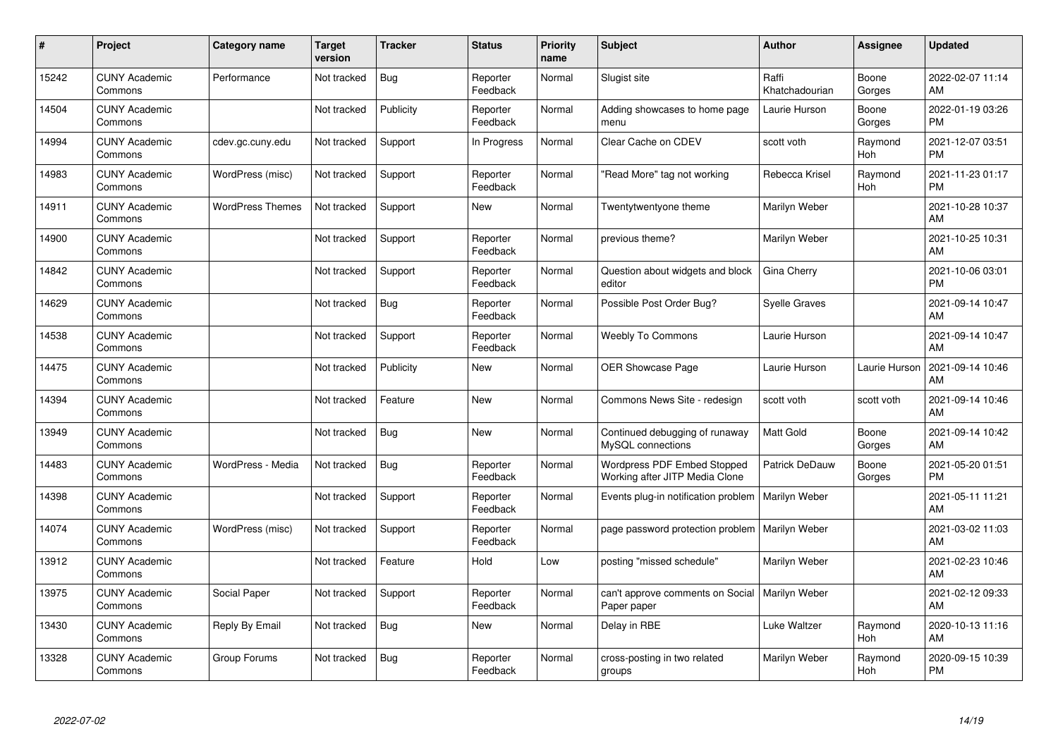| #     | Project                         | <b>Category name</b>    | <b>Target</b><br>version | <b>Tracker</b> | <b>Status</b>        | <b>Priority</b><br>name | <b>Subject</b>                                                | <b>Author</b>           | <b>Assignee</b> | <b>Updated</b>                |
|-------|---------------------------------|-------------------------|--------------------------|----------------|----------------------|-------------------------|---------------------------------------------------------------|-------------------------|-----------------|-------------------------------|
| 15242 | <b>CUNY Academic</b><br>Commons | Performance             | Not tracked              | <b>Bug</b>     | Reporter<br>Feedback | Normal                  | Slugist site                                                  | Raffi<br>Khatchadourian | Boone<br>Gorges | 2022-02-07 11:14<br>AM        |
| 14504 | <b>CUNY Academic</b><br>Commons |                         | Not tracked              | Publicity      | Reporter<br>Feedback | Normal                  | Adding showcases to home page<br>menu                         | Laurie Hurson           | Boone<br>Gorges | 2022-01-19 03:26<br><b>PM</b> |
| 14994 | <b>CUNY Academic</b><br>Commons | cdev.gc.cuny.edu        | Not tracked              | Support        | In Progress          | Normal                  | Clear Cache on CDEV                                           | scott voth              | Raymond<br>Hoh  | 2021-12-07 03:51<br><b>PM</b> |
| 14983 | <b>CUNY Academic</b><br>Commons | WordPress (misc)        | Not tracked              | Support        | Reporter<br>Feedback | Normal                  | "Read More" tag not working                                   | Rebecca Krisel          | Raymond<br>Hoh  | 2021-11-23 01:17<br><b>PM</b> |
| 14911 | <b>CUNY Academic</b><br>Commons | <b>WordPress Themes</b> | Not tracked              | Support        | <b>New</b>           | Normal                  | Twentytwentyone theme                                         | Marilyn Weber           |                 | 2021-10-28 10:37<br>AM        |
| 14900 | <b>CUNY Academic</b><br>Commons |                         | Not tracked              | Support        | Reporter<br>Feedback | Normal                  | previous theme?                                               | Marilyn Weber           |                 | 2021-10-25 10:31<br>AM        |
| 14842 | <b>CUNY Academic</b><br>Commons |                         | Not tracked              | Support        | Reporter<br>Feedback | Normal                  | Question about widgets and block<br>editor                    | Gina Cherry             |                 | 2021-10-06 03:01<br><b>PM</b> |
| 14629 | <b>CUNY Academic</b><br>Commons |                         | Not tracked              | Bug            | Reporter<br>Feedback | Normal                  | Possible Post Order Bug?                                      | <b>Syelle Graves</b>    |                 | 2021-09-14 10:47<br>AM        |
| 14538 | <b>CUNY Academic</b><br>Commons |                         | Not tracked              | Support        | Reporter<br>Feedback | Normal                  | <b>Weebly To Commons</b>                                      | Laurie Hurson           |                 | 2021-09-14 10:47<br>AM        |
| 14475 | <b>CUNY Academic</b><br>Commons |                         | Not tracked              | Publicity      | New                  | Normal                  | OER Showcase Page                                             | Laurie Hurson           | Laurie Hurson   | 2021-09-14 10:46<br>AM        |
| 14394 | <b>CUNY Academic</b><br>Commons |                         | Not tracked              | Feature        | New                  | Normal                  | Commons News Site - redesign                                  | scott voth              | scott voth      | 2021-09-14 10:46<br>AM        |
| 13949 | <b>CUNY Academic</b><br>Commons |                         | Not tracked              | Bug            | New                  | Normal                  | Continued debugging of runaway<br>MySQL connections           | <b>Matt Gold</b>        | Boone<br>Gorges | 2021-09-14 10:42<br>AM        |
| 14483 | <b>CUNY Academic</b><br>Commons | WordPress - Media       | Not tracked              | <b>Bug</b>     | Reporter<br>Feedback | Normal                  | Wordpress PDF Embed Stopped<br>Working after JITP Media Clone | Patrick DeDauw          | Boone<br>Gorges | 2021-05-20 01:51<br><b>PM</b> |
| 14398 | <b>CUNY Academic</b><br>Commons |                         | Not tracked              | Support        | Reporter<br>Feedback | Normal                  | Events plug-in notification problem                           | <b>Marilyn Weber</b>    |                 | 2021-05-11 11:21<br>AM        |
| 14074 | <b>CUNY Academic</b><br>Commons | WordPress (misc)        | Not tracked              | Support        | Reporter<br>Feedback | Normal                  | page password protection problem                              | Marilyn Weber           |                 | 2021-03-02 11:03<br>AM        |
| 13912 | <b>CUNY Academic</b><br>Commons |                         | Not tracked              | Feature        | Hold                 | Low                     | posting "missed schedule"                                     | Marilyn Weber           |                 | 2021-02-23 10:46<br>AM        |
| 13975 | <b>CUNY Academic</b><br>Commons | Social Paper            | Not tracked              | Support        | Reporter<br>Feedback | Normal                  | can't approve comments on Social<br>Paper paper               | Marilyn Weber           |                 | 2021-02-12 09:33<br>AM        |
| 13430 | <b>CUNY Academic</b><br>Commons | Reply By Email          | Not tracked              | Bug            | New                  | Normal                  | Delay in RBE                                                  | Luke Waltzer            | Raymond<br>Hoh  | 2020-10-13 11:16<br>AM        |
| 13328 | <b>CUNY Academic</b><br>Commons | Group Forums            | Not tracked              | <b>Bug</b>     | Reporter<br>Feedback | Normal                  | cross-posting in two related<br>groups                        | Marilyn Weber           | Raymond<br>Hoh  | 2020-09-15 10:39<br><b>PM</b> |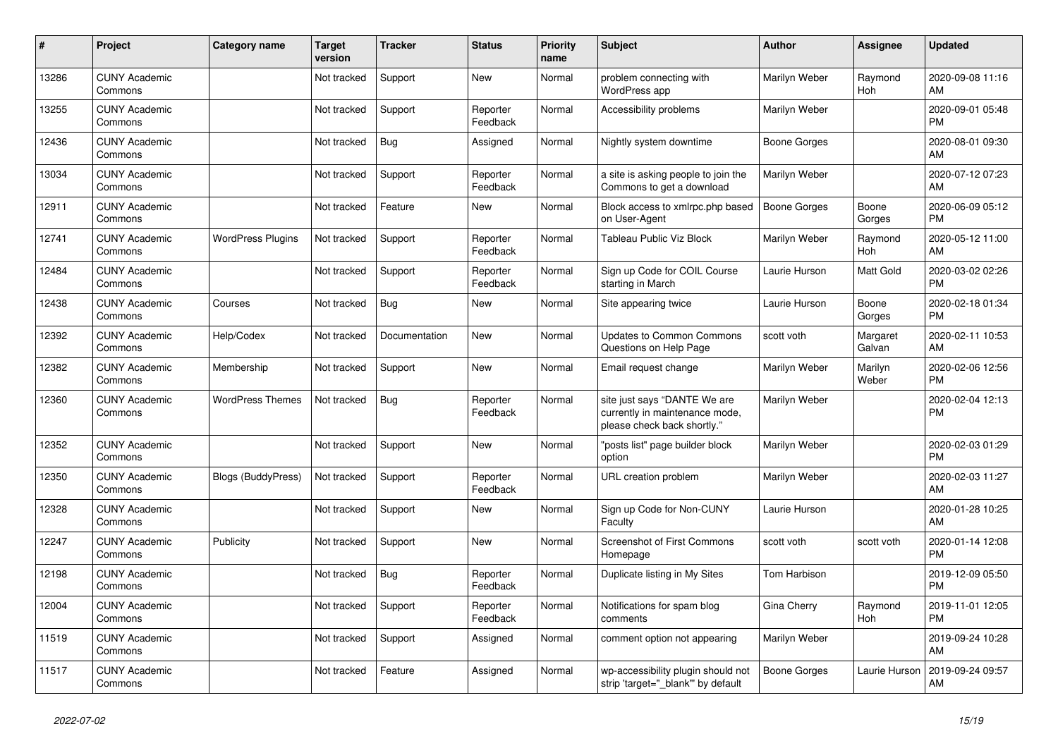| #     | <b>Project</b>                  | <b>Category name</b>     | <b>Target</b><br>version | <b>Tracker</b> | <b>Status</b>        | <b>Priority</b><br>name | <b>Subject</b>                                                                                | <b>Author</b>       | Assignee           | <b>Updated</b>                |
|-------|---------------------------------|--------------------------|--------------------------|----------------|----------------------|-------------------------|-----------------------------------------------------------------------------------------------|---------------------|--------------------|-------------------------------|
| 13286 | <b>CUNY Academic</b><br>Commons |                          | Not tracked              | Support        | New                  | Normal                  | problem connecting with<br><b>WordPress app</b>                                               | Marilyn Weber       | Raymond<br>Hoh     | 2020-09-08 11:16<br>AM        |
| 13255 | <b>CUNY Academic</b><br>Commons |                          | Not tracked              | Support        | Reporter<br>Feedback | Normal                  | Accessibility problems                                                                        | Marilyn Weber       |                    | 2020-09-01 05:48<br>PM.       |
| 12436 | <b>CUNY Academic</b><br>Commons |                          | Not tracked              | Bug            | Assigned             | Normal                  | Nightly system downtime                                                                       | Boone Gorges        |                    | 2020-08-01 09:30<br>AM        |
| 13034 | <b>CUNY Academic</b><br>Commons |                          | Not tracked              | Support        | Reporter<br>Feedback | Normal                  | a site is asking people to join the<br>Commons to get a download                              | Marilyn Weber       |                    | 2020-07-12 07:23<br><b>AM</b> |
| 12911 | <b>CUNY Academic</b><br>Commons |                          | Not tracked              | Feature        | New                  | Normal                  | Block access to xmlrpc.php based<br>on User-Agent                                             | <b>Boone Gorges</b> | Boone<br>Gorges    | 2020-06-09 05:12<br>PM.       |
| 12741 | <b>CUNY Academic</b><br>Commons | <b>WordPress Plugins</b> | Not tracked              | Support        | Reporter<br>Feedback | Normal                  | Tableau Public Viz Block                                                                      | Marilyn Weber       | Raymond<br>Hoh     | 2020-05-12 11:00<br>AM        |
| 12484 | <b>CUNY Academic</b><br>Commons |                          | Not tracked              | Support        | Reporter<br>Feedback | Normal                  | Sign up Code for COIL Course<br>starting in March                                             | Laurie Hurson       | Matt Gold          | 2020-03-02 02:26<br><b>PM</b> |
| 12438 | <b>CUNY Academic</b><br>Commons | Courses                  | Not tracked              | Bug            | <b>New</b>           | Normal                  | Site appearing twice                                                                          | Laurie Hurson       | Boone<br>Gorges    | 2020-02-18 01:34<br>PM        |
| 12392 | <b>CUNY Academic</b><br>Commons | Help/Codex               | Not tracked              | Documentation  | New                  | Normal                  | <b>Updates to Common Commons</b><br>Questions on Help Page                                    | scott voth          | Margaret<br>Galvan | 2020-02-11 10:53<br>AM        |
| 12382 | <b>CUNY Academic</b><br>Commons | Membership               | Not tracked              | Support        | New                  | Normal                  | Email request change                                                                          | Marilyn Weber       | Marilyn<br>Weber   | 2020-02-06 12:56<br><b>PM</b> |
| 12360 | <b>CUNY Academic</b><br>Commons | <b>WordPress Themes</b>  | Not tracked              | Bug            | Reporter<br>Feedback | Normal                  | site just says "DANTE We are<br>currently in maintenance mode,<br>please check back shortly." | Marilyn Weber       |                    | 2020-02-04 12:13<br><b>PM</b> |
| 12352 | <b>CUNY Academic</b><br>Commons |                          | Not tracked              | Support        | New                  | Normal                  | "posts list" page builder block<br>option                                                     | Marilyn Weber       |                    | 2020-02-03 01:29<br><b>PM</b> |
| 12350 | <b>CUNY Academic</b><br>Commons | Blogs (BuddyPress)       | Not tracked              | Support        | Reporter<br>Feedback | Normal                  | URL creation problem                                                                          | Marilyn Weber       |                    | 2020-02-03 11:27<br>AM        |
| 12328 | <b>CUNY Academic</b><br>Commons |                          | Not tracked              | Support        | <b>New</b>           | Normal                  | Sign up Code for Non-CUNY<br>Faculty                                                          | Laurie Hurson       |                    | 2020-01-28 10:25<br>AM        |
| 12247 | <b>CUNY Academic</b><br>Commons | Publicity                | Not tracked              | Support        | New                  | Normal                  | <b>Screenshot of First Commons</b><br>Homepage                                                | scott voth          | scott voth         | 2020-01-14 12:08<br><b>PM</b> |
| 12198 | <b>CUNY Academic</b><br>Commons |                          | Not tracked              | <b>Bug</b>     | Reporter<br>Feedback | Normal                  | Duplicate listing in My Sites                                                                 | Tom Harbison        |                    | 2019-12-09 05:50<br><b>PM</b> |
| 12004 | <b>CUNY Academic</b><br>Commons |                          | Not tracked              | Support        | Reporter<br>Feedback | Normal                  | Notifications for spam blog<br>comments                                                       | Gina Cherry         | Raymond<br>Hoh     | 2019-11-01 12:05<br><b>PM</b> |
| 11519 | <b>CUNY Academic</b><br>Commons |                          | Not tracked              | Support        | Assigned             | Normal                  | comment option not appearing                                                                  | Marilyn Weber       |                    | 2019-09-24 10:28<br>AM        |
| 11517 | <b>CUNY Academic</b><br>Commons |                          | Not tracked              | Feature        | Assigned             | Normal                  | wp-accessibility plugin should not<br>strip 'target="_blank"' by default                      | <b>Boone Gorges</b> | Laurie Hurson      | 2019-09-24 09:57<br>AM        |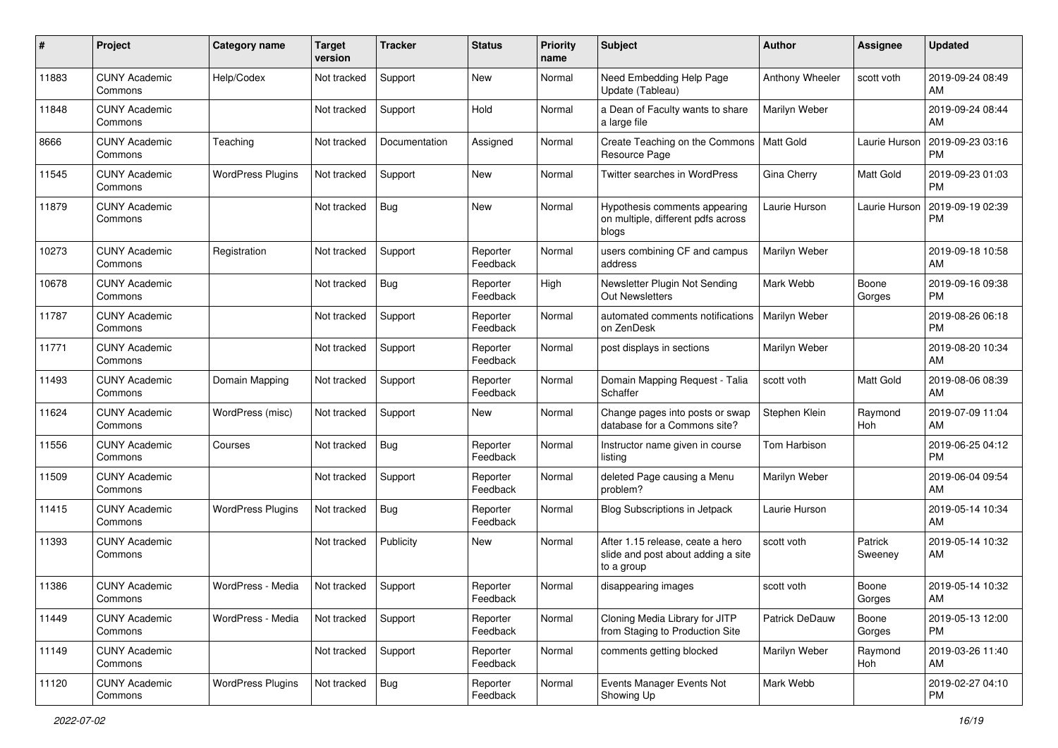| #     | Project                         | <b>Category name</b>     | <b>Target</b><br>version | <b>Tracker</b> | <b>Status</b>        | <b>Priority</b><br>name | <b>Subject</b>                                                                       | <b>Author</b>   | <b>Assignee</b>    | <b>Updated</b>                |
|-------|---------------------------------|--------------------------|--------------------------|----------------|----------------------|-------------------------|--------------------------------------------------------------------------------------|-----------------|--------------------|-------------------------------|
| 11883 | <b>CUNY Academic</b><br>Commons | Help/Codex               | Not tracked              | Support        | New                  | Normal                  | Need Embedding Help Page<br>Update (Tableau)                                         | Anthony Wheeler | scott voth         | 2019-09-24 08:49<br>AM        |
| 11848 | <b>CUNY Academic</b><br>Commons |                          | Not tracked              | Support        | Hold                 | Normal                  | a Dean of Faculty wants to share<br>a large file                                     | Marilyn Weber   |                    | 2019-09-24 08:44<br>AM        |
| 8666  | <b>CUNY Academic</b><br>Commons | Teaching                 | Not tracked              | Documentation  | Assigned             | Normal                  | Create Teaching on the Commons<br>Resource Page                                      | Matt Gold       | Laurie Hurson      | 2019-09-23 03:16<br><b>PM</b> |
| 11545 | <b>CUNY Academic</b><br>Commons | <b>WordPress Plugins</b> | Not tracked              | Support        | New                  | Normal                  | Twitter searches in WordPress                                                        | Gina Cherry     | <b>Matt Gold</b>   | 2019-09-23 01:03<br><b>PM</b> |
| 11879 | <b>CUNY Academic</b><br>Commons |                          | Not tracked              | Bug            | New                  | Normal                  | Hypothesis comments appearing<br>on multiple, different pdfs across<br>blogs         | Laurie Hurson   | Laurie Hurson      | 2019-09-19 02:39<br><b>PM</b> |
| 10273 | <b>CUNY Academic</b><br>Commons | Registration             | Not tracked              | Support        | Reporter<br>Feedback | Normal                  | users combining CF and campus<br>address                                             | Marilyn Weber   |                    | 2019-09-18 10:58<br>AM        |
| 10678 | <b>CUNY Academic</b><br>Commons |                          | Not tracked              | Bug            | Reporter<br>Feedback | High                    | Newsletter Plugin Not Sending<br><b>Out Newsletters</b>                              | Mark Webb       | Boone<br>Gorges    | 2019-09-16 09:38<br><b>PM</b> |
| 11787 | <b>CUNY Academic</b><br>Commons |                          | Not tracked              | Support        | Reporter<br>Feedback | Normal                  | automated comments notifications<br>on ZenDesk                                       | Marilyn Weber   |                    | 2019-08-26 06:18<br><b>PM</b> |
| 11771 | <b>CUNY Academic</b><br>Commons |                          | Not tracked              | Support        | Reporter<br>Feedback | Normal                  | post displays in sections                                                            | Marilyn Weber   |                    | 2019-08-20 10:34<br>AM        |
| 11493 | <b>CUNY Academic</b><br>Commons | Domain Mapping           | Not tracked              | Support        | Reporter<br>Feedback | Normal                  | Domain Mapping Request - Talia<br>Schaffer                                           | scott voth      | Matt Gold          | 2019-08-06 08:39<br>AM        |
| 11624 | <b>CUNY Academic</b><br>Commons | WordPress (misc)         | Not tracked              | Support        | New                  | Normal                  | Change pages into posts or swap<br>database for a Commons site?                      | Stephen Klein   | Raymond<br>Hoh     | 2019-07-09 11:04<br>AM        |
| 11556 | <b>CUNY Academic</b><br>Commons | Courses                  | Not tracked              | Bug            | Reporter<br>Feedback | Normal                  | Instructor name given in course<br>listing                                           | Tom Harbison    |                    | 2019-06-25 04:12<br><b>PM</b> |
| 11509 | <b>CUNY Academic</b><br>Commons |                          | Not tracked              | Support        | Reporter<br>Feedback | Normal                  | deleted Page causing a Menu<br>problem?                                              | Marilyn Weber   |                    | 2019-06-04 09:54<br>AM        |
| 11415 | <b>CUNY Academic</b><br>Commons | <b>WordPress Plugins</b> | Not tracked              | Bug            | Reporter<br>Feedback | Normal                  | Blog Subscriptions in Jetpack                                                        | Laurie Hurson   |                    | 2019-05-14 10:34<br>AM        |
| 11393 | <b>CUNY Academic</b><br>Commons |                          | Not tracked              | Publicity      | New                  | Normal                  | After 1.15 release, ceate a hero<br>slide and post about adding a site<br>to a group | scott voth      | Patrick<br>Sweeney | 2019-05-14 10:32<br>AM        |
| 11386 | <b>CUNY Academic</b><br>Commons | WordPress - Media        | Not tracked              | Support        | Reporter<br>Feedback | Normal                  | disappearing images                                                                  | scott voth      | Boone<br>Gorges    | 2019-05-14 10:32<br>AM        |
| 11449 | <b>CUNY Academic</b><br>Commons | WordPress - Media        | Not tracked              | Support        | Reporter<br>Feedback | Normal                  | Cloning Media Library for JITP<br>from Staging to Production Site                    | Patrick DeDauw  | Boone<br>Gorges    | 2019-05-13 12:00<br><b>PM</b> |
| 11149 | <b>CUNY Academic</b><br>Commons |                          | Not tracked              | Support        | Reporter<br>Feedback | Normal                  | comments getting blocked                                                             | Marilyn Weber   | Raymond<br>Hoh     | 2019-03-26 11:40<br>AM        |
| 11120 | <b>CUNY Academic</b><br>Commons | <b>WordPress Plugins</b> | Not tracked              | Bug            | Reporter<br>Feedback | Normal                  | Events Manager Events Not<br>Showing Up                                              | Mark Webb       |                    | 2019-02-27 04:10<br><b>PM</b> |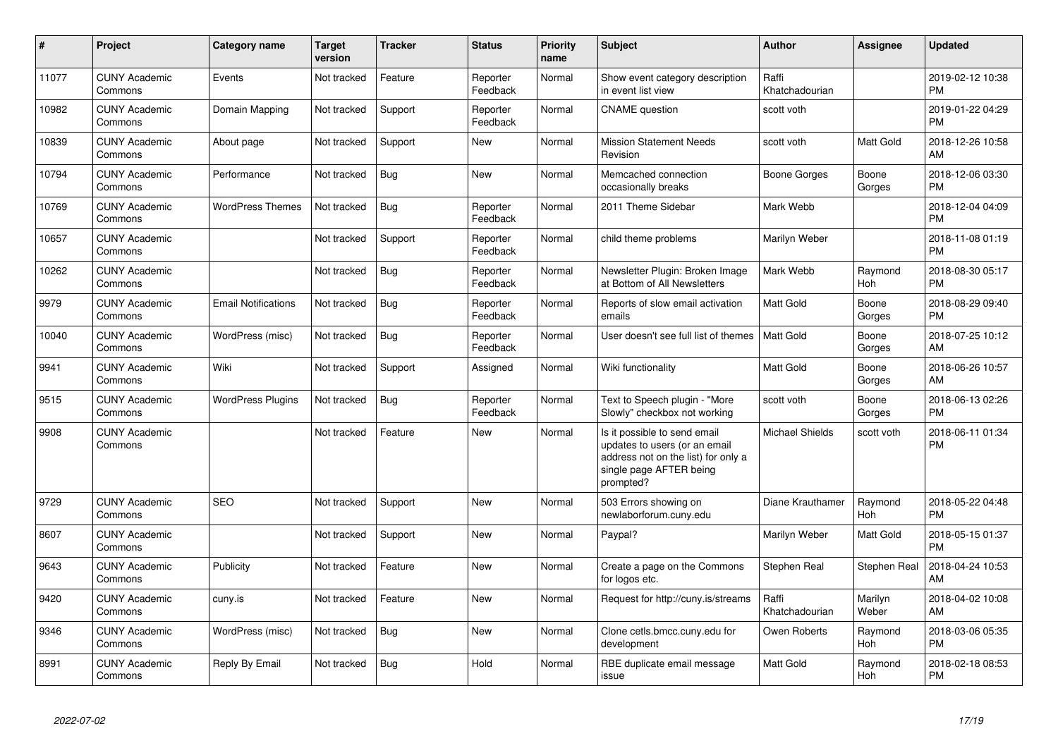| #     | <b>Project</b>                  | Category name              | <b>Target</b><br>version | <b>Tracker</b> | <b>Status</b>        | <b>Priority</b><br>name | <b>Subject</b>                                                                                                                               | <b>Author</b>           | Assignee         | <b>Updated</b>                |
|-------|---------------------------------|----------------------------|--------------------------|----------------|----------------------|-------------------------|----------------------------------------------------------------------------------------------------------------------------------------------|-------------------------|------------------|-------------------------------|
| 11077 | <b>CUNY Academic</b><br>Commons | Events                     | Not tracked              | Feature        | Reporter<br>Feedback | Normal                  | Show event category description<br>in event list view                                                                                        | Raffi<br>Khatchadourian |                  | 2019-02-12 10:38<br><b>PM</b> |
| 10982 | <b>CUNY Academic</b><br>Commons | Domain Mapping             | Not tracked              | Support        | Reporter<br>Feedback | Normal                  | <b>CNAME</b> question                                                                                                                        | scott voth              |                  | 2019-01-22 04:29<br><b>PM</b> |
| 10839 | <b>CUNY Academic</b><br>Commons | About page                 | Not tracked              | Support        | New                  | Normal                  | <b>Mission Statement Needs</b><br>Revision                                                                                                   | scott voth              | Matt Gold        | 2018-12-26 10:58<br>AM        |
| 10794 | <b>CUNY Academic</b><br>Commons | Performance                | Not tracked              | Bug            | <b>New</b>           | Normal                  | Memcached connection<br>occasionally breaks                                                                                                  | Boone Gorges            | Boone<br>Gorges  | 2018-12-06 03:30<br><b>PM</b> |
| 10769 | <b>CUNY Academic</b><br>Commons | <b>WordPress Themes</b>    | Not tracked              | <b>Bug</b>     | Reporter<br>Feedback | Normal                  | 2011 Theme Sidebar                                                                                                                           | Mark Webb               |                  | 2018-12-04 04:09<br><b>PM</b> |
| 10657 | <b>CUNY Academic</b><br>Commons |                            | Not tracked              | Support        | Reporter<br>Feedback | Normal                  | child theme problems                                                                                                                         | Marilyn Weber           |                  | 2018-11-08 01:19<br><b>PM</b> |
| 10262 | <b>CUNY Academic</b><br>Commons |                            | Not tracked              | Bug            | Reporter<br>Feedback | Normal                  | Newsletter Plugin: Broken Image<br>at Bottom of All Newsletters                                                                              | Mark Webb               | Raymond<br>Hoh   | 2018-08-30 05:17<br><b>PM</b> |
| 9979  | <b>CUNY Academic</b><br>Commons | <b>Email Notifications</b> | Not tracked              | <b>Bug</b>     | Reporter<br>Feedback | Normal                  | Reports of slow email activation<br>emails                                                                                                   | <b>Matt Gold</b>        | Boone<br>Gorges  | 2018-08-29 09:40<br><b>PM</b> |
| 10040 | <b>CUNY Academic</b><br>Commons | WordPress (misc)           | Not tracked              | <b>Bug</b>     | Reporter<br>Feedback | Normal                  | User doesn't see full list of themes                                                                                                         | <b>Matt Gold</b>        | Boone<br>Gorges  | 2018-07-25 10:12<br>AM        |
| 9941  | <b>CUNY Academic</b><br>Commons | Wiki                       | Not tracked              | Support        | Assigned             | Normal                  | Wiki functionality                                                                                                                           | <b>Matt Gold</b>        | Boone<br>Gorges  | 2018-06-26 10:57<br>AM        |
| 9515  | <b>CUNY Academic</b><br>Commons | <b>WordPress Plugins</b>   | Not tracked              | Bug            | Reporter<br>Feedback | Normal                  | Text to Speech plugin - "More<br>Slowly" checkbox not working                                                                                | scott voth              | Boone<br>Gorges  | 2018-06-13 02:26<br><b>PM</b> |
| 9908  | <b>CUNY Academic</b><br>Commons |                            | Not tracked              | Feature        | New                  | Normal                  | Is it possible to send email<br>updates to users (or an email<br>address not on the list) for only a<br>single page AFTER being<br>prompted? | <b>Michael Shields</b>  | scott voth       | 2018-06-11 01:34<br><b>PM</b> |
| 9729  | <b>CUNY Academic</b><br>Commons | <b>SEO</b>                 | Not tracked              | Support        | <b>New</b>           | Normal                  | 503 Errors showing on<br>newlaborforum.cuny.edu                                                                                              | Diane Krauthamer        | Raymond<br>Hoh   | 2018-05-22 04:48<br><b>PM</b> |
| 8607  | <b>CUNY Academic</b><br>Commons |                            | Not tracked              | Support        | <b>New</b>           | Normal                  | Paypal?                                                                                                                                      | Marilyn Weber           | Matt Gold        | 2018-05-15 01:37<br><b>PM</b> |
| 9643  | <b>CUNY Academic</b><br>Commons | Publicity                  | Not tracked              | Feature        | <b>New</b>           | Normal                  | Create a page on the Commons<br>for logos etc.                                                                                               | Stephen Real            | Stephen Real     | 2018-04-24 10:53<br>AM        |
| 9420  | <b>CUNY Academic</b><br>Commons | cuny.is                    | Not tracked              | Feature        | <b>New</b>           | Normal                  | Request for http://cuny.is/streams                                                                                                           | Raffi<br>Khatchadourian | Marilyn<br>Weber | 2018-04-02 10:08<br>AM        |
| 9346  | <b>CUNY Academic</b><br>Commons | WordPress (misc)           | Not tracked              | Bug            | New                  | Normal                  | Clone cetls.bmcc.cuny.edu for<br>development                                                                                                 | Owen Roberts            | Raymond<br>Hoh   | 2018-03-06 05:35<br><b>PM</b> |
| 8991  | <b>CUNY Academic</b><br>Commons | Reply By Email             | Not tracked              | Bug            | Hold                 | Normal                  | RBE duplicate email message<br>issue                                                                                                         | Matt Gold               | Raymond<br>Hoh   | 2018-02-18 08:53<br><b>PM</b> |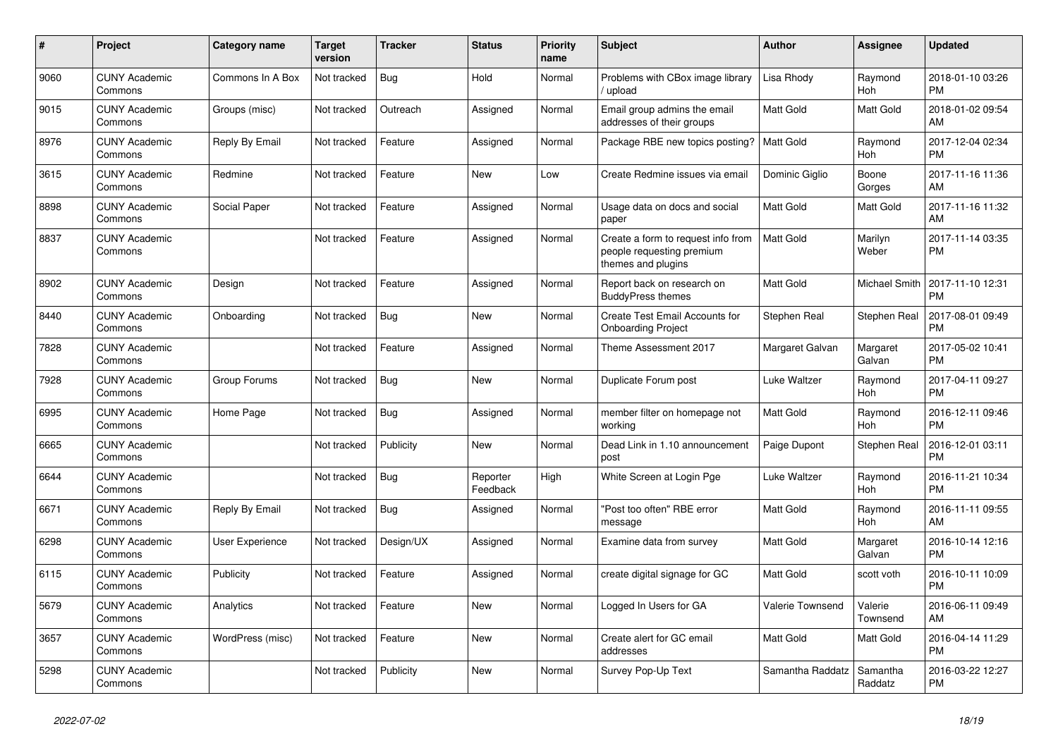| #    | Project                         | Category name    | <b>Target</b><br>version | <b>Tracker</b> | <b>Status</b>        | <b>Priority</b><br>name | <b>Subject</b>                                                                        | <b>Author</b>    | Assignee             | <b>Updated</b>                |
|------|---------------------------------|------------------|--------------------------|----------------|----------------------|-------------------------|---------------------------------------------------------------------------------------|------------------|----------------------|-------------------------------|
| 9060 | <b>CUNY Academic</b><br>Commons | Commons In A Box | Not tracked              | Bug            | Hold                 | Normal                  | Problems with CBox image library<br>/ upload                                          | Lisa Rhody       | Raymond<br>Hoh       | 2018-01-10 03:26<br><b>PM</b> |
| 9015 | <b>CUNY Academic</b><br>Commons | Groups (misc)    | Not tracked              | Outreach       | Assigned             | Normal                  | Email group admins the email<br>addresses of their groups                             | Matt Gold        | Matt Gold            | 2018-01-02 09:54<br>AM        |
| 8976 | <b>CUNY Academic</b><br>Commons | Reply By Email   | Not tracked              | Feature        | Assigned             | Normal                  | Package RBE new topics posting?                                                       | <b>Matt Gold</b> | Raymond<br>Hoh       | 2017-12-04 02:34<br><b>PM</b> |
| 3615 | <b>CUNY Academic</b><br>Commons | Redmine          | Not tracked              | Feature        | <b>New</b>           | Low                     | Create Redmine issues via email                                                       | Dominic Giglio   | Boone<br>Gorges      | 2017-11-16 11:36<br>AM        |
| 8898 | <b>CUNY Academic</b><br>Commons | Social Paper     | Not tracked              | Feature        | Assigned             | Normal                  | Usage data on docs and social<br>paper                                                | Matt Gold        | Matt Gold            | 2017-11-16 11:32<br>AM        |
| 8837 | <b>CUNY Academic</b><br>Commons |                  | Not tracked              | Feature        | Assigned             | Normal                  | Create a form to request info from<br>people requesting premium<br>themes and plugins | <b>Matt Gold</b> | Marilyn<br>Weber     | 2017-11-14 03:35<br><b>PM</b> |
| 8902 | <b>CUNY Academic</b><br>Commons | Design           | Not tracked              | Feature        | Assigned             | Normal                  | Report back on research on<br><b>BuddyPress themes</b>                                | Matt Gold        | <b>Michael Smith</b> | 2017-11-10 12:31<br><b>PM</b> |
| 8440 | <b>CUNY Academic</b><br>Commons | Onboarding       | Not tracked              | <b>Bug</b>     | New                  | Normal                  | Create Test Email Accounts for<br><b>Onboarding Project</b>                           | Stephen Real     | Stephen Real         | 2017-08-01 09:49<br><b>PM</b> |
| 7828 | <b>CUNY Academic</b><br>Commons |                  | Not tracked              | Feature        | Assigned             | Normal                  | Theme Assessment 2017                                                                 | Margaret Galvan  | Margaret<br>Galvan   | 2017-05-02 10:41<br><b>PM</b> |
| 7928 | <b>CUNY Academic</b><br>Commons | Group Forums     | Not tracked              | Bug            | New                  | Normal                  | Duplicate Forum post                                                                  | Luke Waltzer     | Raymond<br>Hoh       | 2017-04-11 09:27<br><b>PM</b> |
| 6995 | <b>CUNY Academic</b><br>Commons | Home Page        | Not tracked              | <b>Bug</b>     | Assigned             | Normal                  | member filter on homepage not<br>workina                                              | Matt Gold        | Raymond<br>Hoh       | 2016-12-11 09:46<br><b>PM</b> |
| 6665 | <b>CUNY Academic</b><br>Commons |                  | Not tracked              | Publicity      | <b>New</b>           | Normal                  | Dead Link in 1.10 announcement<br>post                                                | Paige Dupont     | Stephen Real         | 2016-12-01 03:11<br><b>PM</b> |
| 6644 | <b>CUNY Academic</b><br>Commons |                  | Not tracked              | Bug            | Reporter<br>Feedback | High                    | White Screen at Login Pge                                                             | Luke Waltzer     | Raymond<br>Hoh       | 2016-11-21 10:34<br><b>PM</b> |
| 6671 | <b>CUNY Academic</b><br>Commons | Reply By Email   | Not tracked              | <b>Bug</b>     | Assigned             | Normal                  | "Post too often" RBE error<br>message                                                 | Matt Gold        | Raymond<br>Hoh       | 2016-11-11 09:55<br>AM        |
| 6298 | <b>CUNY Academic</b><br>Commons | User Experience  | Not tracked              | Design/UX      | Assigned             | Normal                  | Examine data from survey                                                              | Matt Gold        | Margaret<br>Galvan   | 2016-10-14 12:16<br><b>PM</b> |
| 6115 | <b>CUNY Academic</b><br>Commons | Publicity        | Not tracked              | Feature        | Assigned             | Normal                  | create digital signage for GC                                                         | <b>Matt Gold</b> | scott voth           | 2016-10-11 10:09<br><b>PM</b> |
| 5679 | <b>CUNY Academic</b><br>Commons | Analytics        | Not tracked              | Feature        | New                  | Normal                  | Logged In Users for GA                                                                | Valerie Townsend | Valerie<br>Townsend  | 2016-06-11 09:49<br>AM        |
| 3657 | <b>CUNY Academic</b><br>Commons | WordPress (misc) | Not tracked              | Feature        | New                  | Normal                  | Create alert for GC email<br>addresses                                                | <b>Matt Gold</b> | Matt Gold            | 2016-04-14 11:29<br><b>PM</b> |
| 5298 | <b>CUNY Academic</b><br>Commons |                  | Not tracked              | Publicity      | <b>New</b>           | Normal                  | Survey Pop-Up Text                                                                    | Samantha Raddatz | Samantha<br>Raddatz  | 2016-03-22 12:27<br><b>PM</b> |